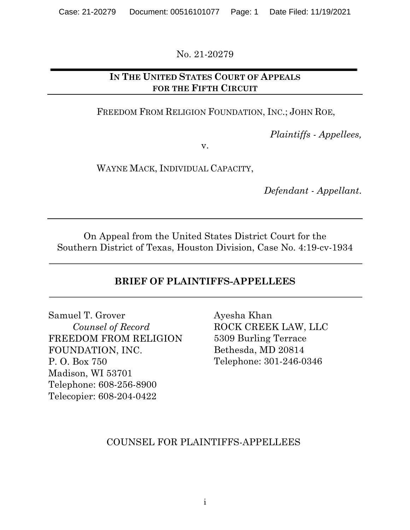No. 21-20279

## **IN THE UNITED STATES COURT OF APPEALS FOR THE FIFTH CIRCUIT**

FREEDOM FROM RELIGION FOUNDATION, INC.; JOHN ROE,

*Plaintiffs - Appellees,*

v.

WAYNE MACK, INDIVIDUAL CAPACITY,

*Defendant - Appellant*.

On Appeal from the United States District Court for the Southern District of Texas, Houston Division, Case No. 4:19-cv-1934

## **BRIEF OF PLAINTIFFS-APPELLEES**

Samuel T. Grover *Counsel of Record* FREEDOM FROM RELIGION FOUNDATION, INC. P. O. Box 750 Madison, WI 53701 Telephone: 608-256-8900 Telecopier: 608-204-0422

Ayesha Khan ROCK CREEK LAW, LLC 5309 Burling Terrace Bethesda, MD 20814 Telephone: 301-246-0346

## COUNSEL FOR PLAINTIFFS-APPELLEES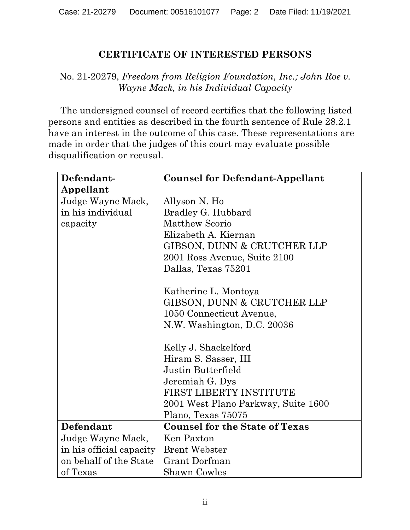## **CERTIFICATE OF INTERESTED PERSONS**

## No. 21-20279, *Freedom from Religion Foundation, Inc.; John Roe v. Wayne Mack, in his Individual Capacity*

The undersigned counsel of record certifies that the following listed persons and entities as described in the fourth sentence of Rule 28.2.1 have an interest in the outcome of this case. These representations are made in order that the judges of this court may evaluate possible disqualification or recusal.

| Defendant-               | <b>Counsel for Defendant-Appellant</b> |
|--------------------------|----------------------------------------|
| Appellant                |                                        |
| Judge Wayne Mack,        | Allyson N. Ho                          |
| in his individual        | Bradley G. Hubbard                     |
| capacity                 | <b>Matthew Scorio</b>                  |
|                          | Elizabeth A. Kiernan                   |
|                          | GIBSON, DUNN & CRUTCHER LLP            |
|                          | 2001 Ross Avenue, Suite 2100           |
|                          | Dallas, Texas 75201                    |
|                          |                                        |
|                          | Katherine L. Montoya                   |
|                          | GIBSON, DUNN & CRUTCHER LLP            |
|                          | 1050 Connecticut Avenue,               |
|                          | N.W. Washington, D.C. 20036            |
|                          |                                        |
|                          | Kelly J. Shackelford                   |
|                          | Hiram S. Sasser, III                   |
|                          | Justin Butterfield                     |
|                          | Jeremiah G. Dys                        |
|                          | FIRST LIBERTY INSTITUTE                |
|                          | 2001 West Plano Parkway, Suite 1600    |
|                          | Plano, Texas 75075                     |
| Defendant                | <b>Counsel for the State of Texas</b>  |
| Judge Wayne Mack,        | Ken Paxton                             |
| in his official capacity | <b>Brent Webster</b>                   |
| on behalf of the State   | Grant Dorfman                          |
| of Texas                 | <b>Shawn Cowles</b>                    |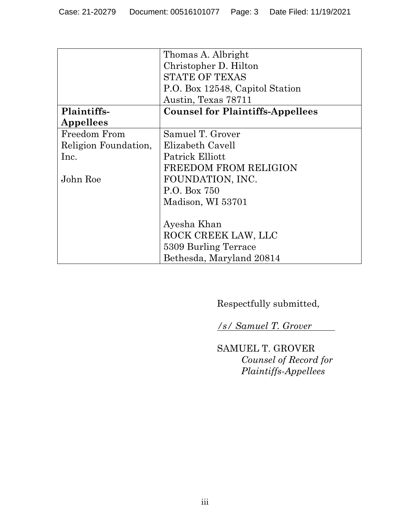|                      | Thomas A. Albright                      |
|----------------------|-----------------------------------------|
|                      | Christopher D. Hilton                   |
|                      |                                         |
|                      | <b>STATE OF TEXAS</b>                   |
|                      | P.O. Box 12548, Capitol Station         |
|                      | Austin, Texas 78711                     |
| Plaintiffs-          | <b>Counsel for Plaintiffs-Appellees</b> |
| Appellees            |                                         |
| Freedom From         | Samuel T. Grover                        |
| Religion Foundation, | Elizabeth Cavell                        |
| Inc.                 | Patrick Elliott                         |
|                      | <b>FREEDOM FROM RELIGION</b>            |
| John Roe             | FOUNDATION, INC.                        |
|                      | P.O. Box 750                            |
|                      | Madison, WI 53701                       |
|                      |                                         |
|                      | Ayesha Khan                             |
|                      | ROCK CREEK LAW, LLC                     |
|                      | 5309 Burling Terrace                    |
|                      | Bethesda, Maryland 20814                |

Respectfully submitted,

*/s/ Samuel T. Grover* 

SAMUEL T. GROVER *Counsel of Record for Plaintiffs-Appellees*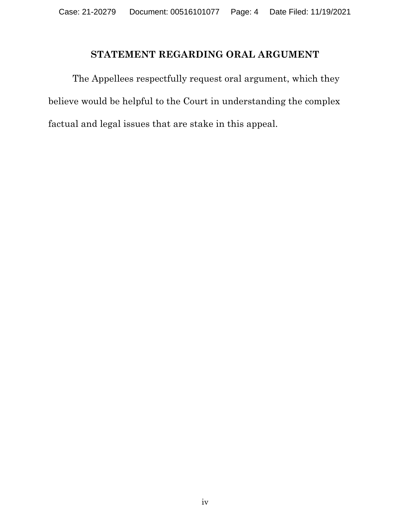## **STATEMENT REGARDING ORAL ARGUMENT**

The Appellees respectfully request oral argument, which they believe would be helpful to the Court in understanding the complex factual and legal issues that are stake in this appeal.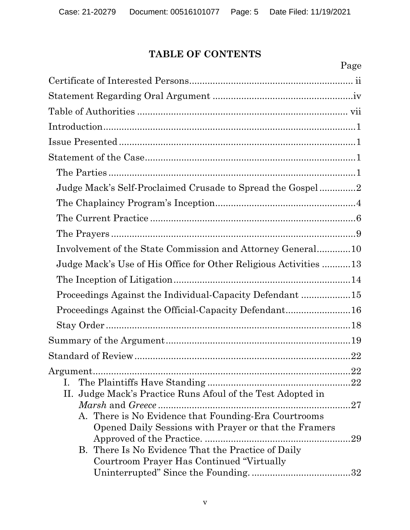## **TABLE OF CONTENTS**

| Page                                                             |
|------------------------------------------------------------------|
|                                                                  |
|                                                                  |
|                                                                  |
|                                                                  |
|                                                                  |
|                                                                  |
|                                                                  |
| Judge Mack's Self-Proclaimed Crusade to Spread the Gospel2       |
|                                                                  |
|                                                                  |
|                                                                  |
| Involvement of the State Commission and Attorney General10       |
| Judge Mack's Use of His Office for Other Religious Activities 13 |
|                                                                  |
| Proceedings Against the Individual-Capacity Defendant 15         |
| Proceedings Against the Official-Capacity Defendant16            |
|                                                                  |
|                                                                  |
|                                                                  |
| Argument                                                         |
|                                                                  |
| II. Judge Mack's Practice Runs Afoul of the Test Adopted in      |
| .27                                                              |
| A. There is No Evidence that Founding-Era Courtrooms             |
| Opened Daily Sessions with Prayer or that the Framers            |
|                                                                  |
| B. There Is No Evidence That the Practice of Daily               |
| Courtroom Prayer Has Continued "Virtually"                       |
|                                                                  |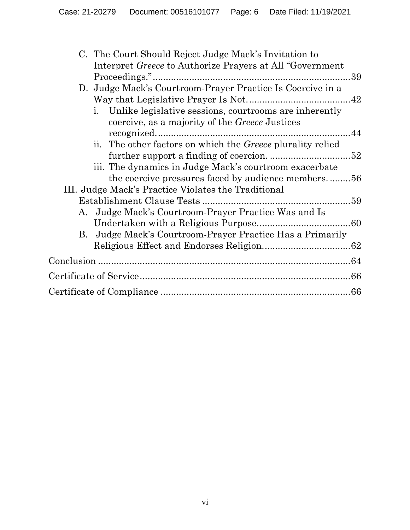| C. The Court Should Reject Judge Mack's Invitation to                |  |
|----------------------------------------------------------------------|--|
| Interpret <i>Greece</i> to Authorize Prayers at All "Government"     |  |
|                                                                      |  |
| D. Judge Mack's Courtroom-Prayer Practice Is Coercive in a           |  |
|                                                                      |  |
| i. Unlike legislative sessions, courtrooms are inherently            |  |
| coercive, as a majority of the <i>Greece</i> Justices                |  |
|                                                                      |  |
| The other factors on which the <i>Greece</i> plurality relied<br>ii. |  |
|                                                                      |  |
| iii. The dynamics in Judge Mack's courtroom exacerbate               |  |
| the coercive pressures faced by audience members56                   |  |
| III. Judge Mack's Practice Violates the Traditional                  |  |
|                                                                      |  |
| A. Judge Mack's Courtroom-Prayer Practice Was and Is                 |  |
|                                                                      |  |
| B. Judge Mack's Courtroom-Prayer Practice Has a Primarily            |  |
|                                                                      |  |
|                                                                      |  |
|                                                                      |  |
|                                                                      |  |
|                                                                      |  |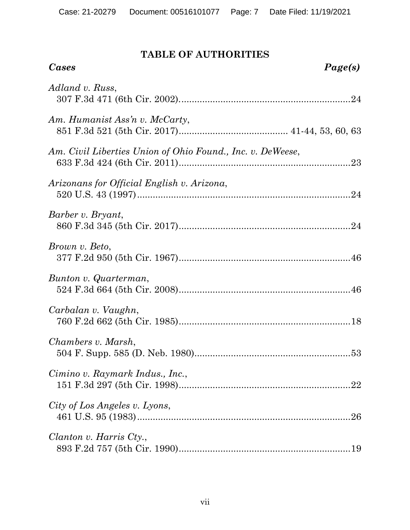## **TABLE OF AUTHORITIES**

| <b>Cases</b>                                               | Page(s) |
|------------------------------------------------------------|---------|
| Adland v. Russ,                                            |         |
| Am. Humanist Ass'n v. McCarty,                             |         |
| Am. Civil Liberties Union of Ohio Found., Inc. v. DeWeese, |         |
| Arizonans for Official English v. Arizona,                 |         |
| Barber v. Bryant,                                          |         |
| Brown v. Beto,                                             |         |
| Bunton v. Quarterman,                                      |         |
| Carbalan v. Vaughn,                                        |         |
| Chambers v. Marsh,                                         |         |
| Cimino v. Raymark Indus., Inc.,                            |         |
| City of Los Angeles v. Lyons,                              |         |
| Clanton v. Harris Cty.,                                    |         |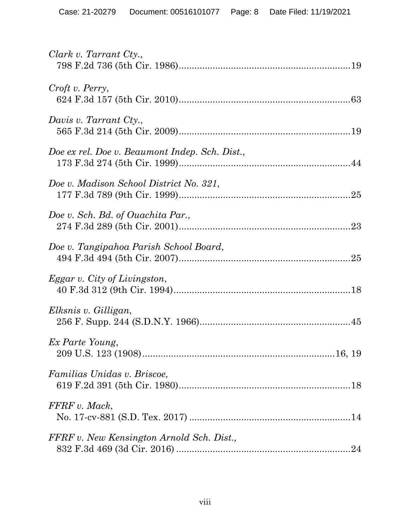| Clark v. Tarrant Cty.,                         |
|------------------------------------------------|
| Croft v. Perry,                                |
| Davis v. Tarrant Cty.,                         |
| Doe ex rel. Doe v. Beaumont Indep. Sch. Dist., |
| Doe v. Madison School District No. 321,        |
| Doe v. Sch. Bd. of Ouachita Par.,              |
| Doe v. Tangipahoa Parish School Board,         |
| Eggar v. City of Livingston,                   |
| Elksnis v. Gilligan,                           |
| Ex Parte Young,                                |
| Familias Unidas v. Briscoe,                    |
| FFRF v. Mack,                                  |
| FFRF v. New Kensington Arnold Sch. Dist.,      |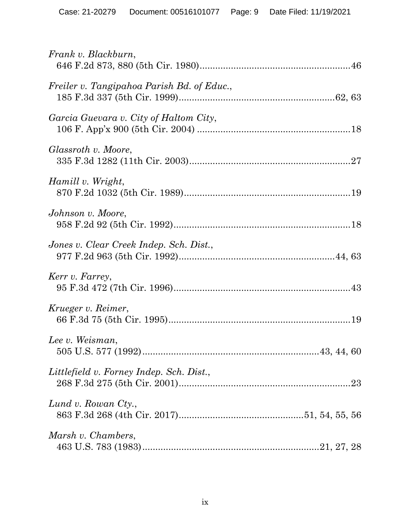| Frank v. Blackburn,                        |
|--------------------------------------------|
| Freiler v. Tangipahoa Parish Bd. of Educ., |
| Garcia Guevara v. City of Haltom City,     |
| Glassroth v. Moore,                        |
| Hamill v. Wright,                          |
| Johnson v. Moore,                          |
| Jones v. Clear Creek Indep. Sch. Dist.,    |
| Kerr v. Farrey,                            |
| Krueger v. Reimer,                         |
| Lee v. Weisman,                            |
| Littlefield v. Forney Indep. Sch. Dist.,   |
| Lund v. Rowan Cty.,                        |
| Marsh v. Chambers,                         |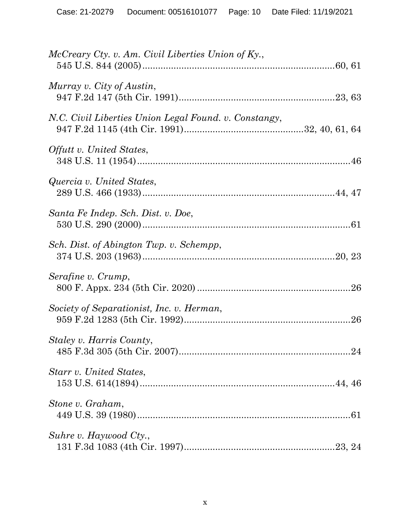| McCreary Cty. v. Am. Civil Liberties Union of Ky.,    |  |
|-------------------------------------------------------|--|
| Murray v. City of Austin,                             |  |
| N.C. Civil Liberties Union Legal Found. v. Constangy, |  |
| Offutt v. United States,                              |  |
| Quercia v. United States,                             |  |
| Santa Fe Indep. Sch. Dist. v. Doe,                    |  |
| Sch. Dist. of Abington Twp. v. Schempp,               |  |
| Serafine v. Crump,                                    |  |
| Society of Separationist, Inc. v. Herman,             |  |
| Staley v. Harris County,                              |  |
| Starr v. United States,                               |  |
| Stone v. Graham,                                      |  |
| Suhre v. Haywood Cty.,                                |  |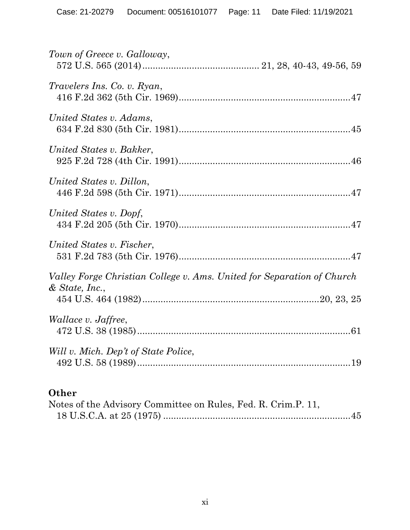| Town of Greece v. Galloway,                                                                |
|--------------------------------------------------------------------------------------------|
| <i>Travelers Ins. Co. v. Ryan,</i>                                                         |
| United States v. Adams,                                                                    |
| United States v. Bakker,                                                                   |
| United States v. Dillon,                                                                   |
| United States v. Dopf,                                                                     |
| United States v. Fischer,                                                                  |
| Valley Forge Christian College v. Ams. United for Separation of Church<br>$&$ State, Inc., |
| <i>Wallace v. Jaffree,</i>                                                                 |
| Will v. Mich. Dep't of State Police,                                                       |
|                                                                                            |

# **Other**

| Notes of the Advisory Committee on Rules, Fed. R. Crim.P. 11, |  |
|---------------------------------------------------------------|--|
|                                                               |  |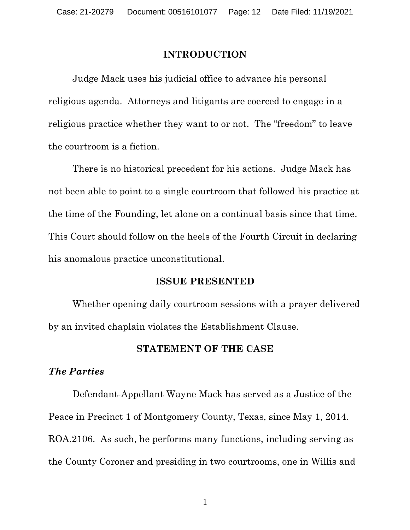#### **INTRODUCTION**

Judge Mack uses his judicial office to advance his personal religious agenda. Attorneys and litigants are coerced to engage in a religious practice whether they want to or not. The "freedom" to leave the courtroom is a fiction.

There is no historical precedent for his actions. Judge Mack has not been able to point to a single courtroom that followed his practice at the time of the Founding, let alone on a continual basis since that time. This Court should follow on the heels of the Fourth Circuit in declaring his anomalous practice unconstitutional.

#### **ISSUE PRESENTED**

Whether opening daily courtroom sessions with a prayer delivered by an invited chaplain violates the Establishment Clause.

#### **STATEMENT OF THE CASE**

#### *The Parties*

Defendant-Appellant Wayne Mack has served as a Justice of the Peace in Precinct 1 of Montgomery County, Texas, since May 1, 2014. ROA.2106. As such, he performs many functions, including serving as the County Coroner and presiding in two courtrooms, one in Willis and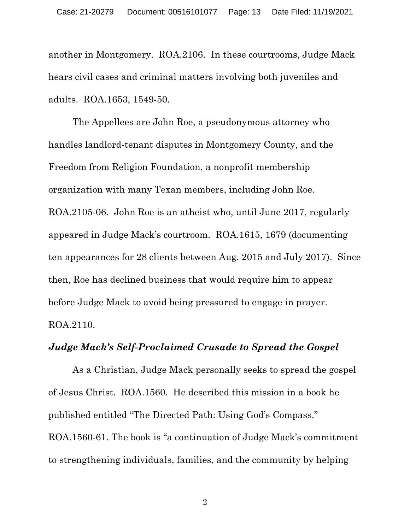another in Montgomery. ROA.2106. In these courtrooms, Judge Mack hears civil cases and criminal matters involving both juveniles and adults. ROA.1653, 1549-50.

The Appellees are John Roe, a pseudonymous attorney who handles landlord-tenant disputes in Montgomery County, and the Freedom from Religion Foundation, a nonprofit membership organization with many Texan members, including John Roe. ROA.2105-06. John Roe is an atheist who, until June 2017, regularly appeared in Judge Mack's courtroom. ROA.1615, 1679 (documenting ten appearances for 28 clients between Aug. 2015 and July 2017). Since then, Roe has declined business that would require him to appear before Judge Mack to avoid being pressured to engage in prayer. ROA.2110.

### *Judge Mack's Self-Proclaimed Crusade to Spread the Gospel*

As a Christian, Judge Mack personally seeks to spread the gospel of Jesus Christ. ROA.1560. He described this mission in a book he published entitled "The Directed Path: Using God's Compass." ROA.1560-61. The book is "a continuation of Judge Mack's commitment to strengthening individuals, families, and the community by helping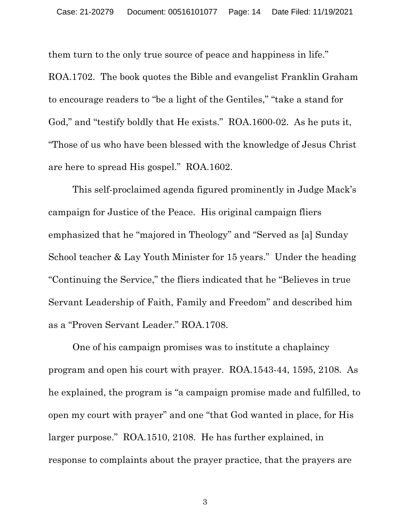them turn to the only true source of peace and happiness in life." ROA.1702. The book quotes the Bible and evangelist Franklin Graham to encourage readers to "be a light of the Gentiles," "take a stand for God," and "testify boldly that He exists." ROA.1600-02. As he puts it, "Those of us who have been blessed with the knowledge of Jesus Christ are here to spread His gospel." ROA.1602.

This self-proclaimed agenda figured prominently in Judge Mack's campaign for Justice of the Peace. His original campaign fliers emphasized that he "majored in Theology" and "Served as [a] Sunday School teacher & Lay Youth Minister for 15 years." Under the heading "Continuing the Service," the fliers indicated that he "Believes in true Servant Leadership of Faith, Family and Freedom" and described him as a "Proven Servant Leader." ROA.1708.

One of his campaign promises was to institute a chaplaincy program and open his court with prayer. ROA.1543-44, 1595, 2108. As he explained, the program is "a campaign promise made and fulfilled, to open my court with prayer" and one "that God wanted in place, for His larger purpose." ROA.1510, 2108. He has further explained, in response to complaints about the prayer practice, that the prayers are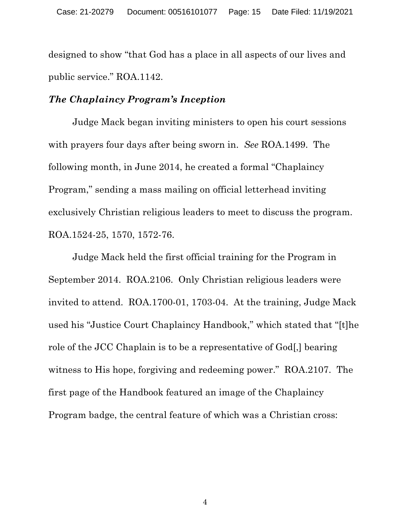designed to show "that God has a place in all aspects of our lives and public service." ROA.1142.

#### *The Chaplaincy Program's Inception*

Judge Mack began inviting ministers to open his court sessions with prayers four days after being sworn in. *See* ROA.1499. The following month, in June 2014, he created a formal "Chaplaincy Program," sending a mass mailing on official letterhead inviting exclusively Christian religious leaders to meet to discuss the program. ROA.1524-25, 1570, 1572-76.

Judge Mack held the first official training for the Program in September 2014. ROA.2106. Only Christian religious leaders were invited to attend. ROA.1700-01, 1703-04. At the training, Judge Mack used his "Justice Court Chaplaincy Handbook," which stated that "[t]he role of the JCC Chaplain is to be a representative of God[,] bearing witness to His hope, forgiving and redeeming power." ROA.2107. The first page of the Handbook featured an image of the Chaplaincy Program badge, the central feature of which was a Christian cross: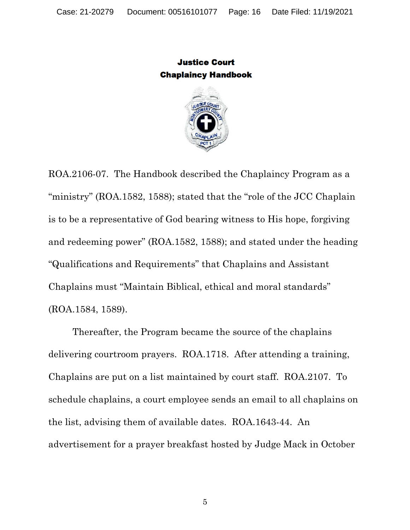**Justice Court Chaplaincy Handbook** 



ROA.2106-07. The Handbook described the Chaplaincy Program as a "ministry" (ROA.1582, 1588); stated that the "role of the JCC Chaplain is to be a representative of God bearing witness to His hope, forgiving and redeeming power" (ROA.1582, 1588); and stated under the heading "Qualifications and Requirements" that Chaplains and Assistant Chaplains must "Maintain Biblical, ethical and moral standards" (ROA.1584, 1589).

Thereafter, the Program became the source of the chaplains delivering courtroom prayers. ROA.1718. After attending a training, Chaplains are put on a list maintained by court staff. ROA.2107. To schedule chaplains, a court employee sends an email to all chaplains on the list, advising them of available dates. ROA.1643-44. An advertisement for a prayer breakfast hosted by Judge Mack in October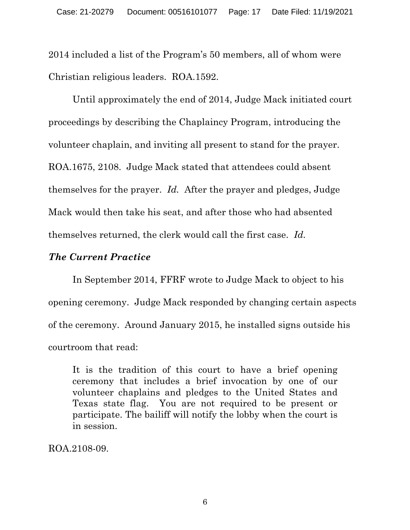2014 included a list of the Program's 50 members, all of whom were Christian religious leaders. ROA.1592.

Until approximately the end of 2014, Judge Mack initiated court proceedings by describing the Chaplaincy Program, introducing the volunteer chaplain, and inviting all present to stand for the prayer. ROA.1675, 2108. Judge Mack stated that attendees could absent themselves for the prayer. *Id.* After the prayer and pledges, Judge Mack would then take his seat, and after those who had absented themselves returned, the clerk would call the first case. *Id.*

## *The Current Practice*

In September 2014, FFRF wrote to Judge Mack to object to his opening ceremony. Judge Mack responded by changing certain aspects of the ceremony. Around January 2015, he installed signs outside his courtroom that read:

It is the tradition of this court to have a brief opening ceremony that includes a brief invocation by one of our volunteer chaplains and pledges to the United States and Texas state flag. You are not required to be present or participate. The bailiff will notify the lobby when the court is in session.

ROA.2108-09.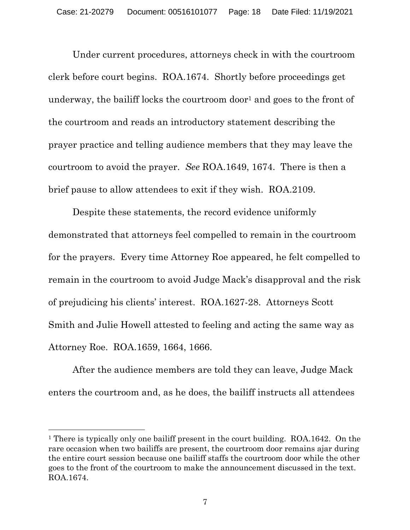Under current procedures, attorneys check in with the courtroom clerk before court begins. ROA.1674. Shortly before proceedings get underway, the bailiff locks the courtroom door<sup>1</sup> and goes to the front of the courtroom and reads an introductory statement describing the prayer practice and telling audience members that they may leave the courtroom to avoid the prayer. *See* ROA.1649, 1674. There is then a brief pause to allow attendees to exit if they wish. ROA.2109.

Despite these statements, the record evidence uniformly demonstrated that attorneys feel compelled to remain in the courtroom for the prayers. Every time Attorney Roe appeared, he felt compelled to remain in the courtroom to avoid Judge Mack's disapproval and the risk of prejudicing his clients' interest. ROA.1627-28. Attorneys Scott Smith and Julie Howell attested to feeling and acting the same way as Attorney Roe. ROA.1659, 1664, 1666.

After the audience members are told they can leave, Judge Mack enters the courtroom and, as he does, the bailiff instructs all attendees

<sup>1</sup> There is typically only one bailiff present in the court building. ROA.1642. On the rare occasion when two bailiffs are present, the courtroom door remains ajar during the entire court session because one bailiff staffs the courtroom door while the other goes to the front of the courtroom to make the announcement discussed in the text. ROA.1674.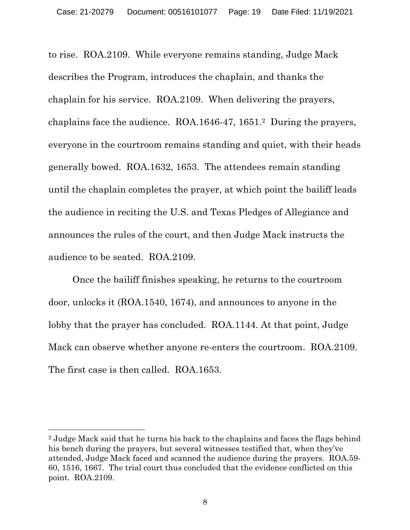to rise. ROA.2109. While everyone remains standing, Judge Mack describes the Program, introduces the chaplain, and thanks the chaplain for his service. ROA.2109. When delivering the prayers, chaplains face the audience. ROA.1646-47, 1651.2 During the prayers, everyone in the courtroom remains standing and quiet, with their heads generally bowed. ROA.1632, 1653. The attendees remain standing until the chaplain completes the prayer, at which point the bailiff leads the audience in reciting the U.S. and Texas Pledges of Allegiance and announces the rules of the court, and then Judge Mack instructs the audience to be seated. ROA.2109.

Once the bailiff finishes speaking, he returns to the courtroom door, unlocks it (ROA.1540, 1674), and announces to anyone in the lobby that the prayer has concluded. ROA.1144. At that point, Judge Mack can observe whether anyone re-enters the courtroom. ROA.2109. The first case is then called. ROA.1653.

<sup>2</sup> Judge Mack said that he turns his back to the chaplains and faces the flags behind his bench during the prayers, but several witnesses testified that, when they've attended, Judge Mack faced and scanned the audience during the prayers. ROA.59- 60, 1516, 1667. The trial court thus concluded that the evidence conflicted on this point. ROA.2109.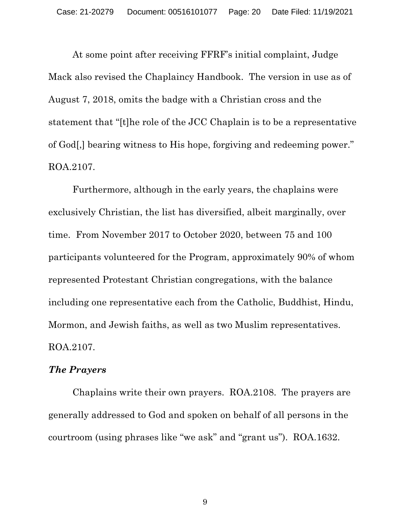At some point after receiving FFRF's initial complaint, Judge Mack also revised the Chaplaincy Handbook. The version in use as of August 7, 2018, omits the badge with a Christian cross and the statement that "[t]he role of the JCC Chaplain is to be a representative of God[,] bearing witness to His hope, forgiving and redeeming power." ROA.2107.

Furthermore, although in the early years, the chaplains were exclusively Christian, the list has diversified, albeit marginally, over time. From November 2017 to October 2020, between 75 and 100 participants volunteered for the Program, approximately 90% of whom represented Protestant Christian congregations, with the balance including one representative each from the Catholic, Buddhist, Hindu, Mormon, and Jewish faiths, as well as two Muslim representatives. ROA.2107.

#### *The Prayers*

Chaplains write their own prayers. ROA.2108. The prayers are generally addressed to God and spoken on behalf of all persons in the courtroom (using phrases like "we ask" and "grant us"). ROA.1632.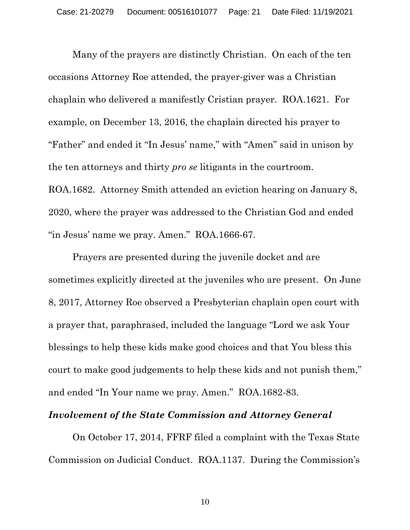Many of the prayers are distinctly Christian. On each of the ten occasions Attorney Roe attended, the prayer-giver was a Christian chaplain who delivered a manifestly Cristian prayer. ROA.1621. For example, on December 13, 2016, the chaplain directed his prayer to "Father" and ended it "In Jesus' name," with "Amen" said in unison by the ten attorneys and thirty *pro se* litigants in the courtroom. ROA.1682. Attorney Smith attended an eviction hearing on January 8, 2020, where the prayer was addressed to the Christian God and ended "in Jesus' name we pray. Amen." ROA.1666-67.

Prayers are presented during the juvenile docket and are sometimes explicitly directed at the juveniles who are present. On June 8, 2017, Attorney Roe observed a Presbyterian chaplain open court with a prayer that, paraphrased, included the language "Lord we ask Your blessings to help these kids make good choices and that You bless this court to make good judgements to help these kids and not punish them," and ended "In Your name we pray. Amen." ROA.1682-83.

#### *Involvement of the State Commission and Attorney General*

On October 17, 2014, FFRF filed a complaint with the Texas State Commission on Judicial Conduct. ROA.1137. During the Commission's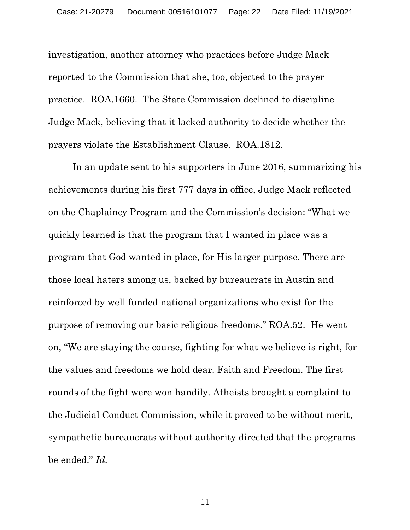investigation, another attorney who practices before Judge Mack reported to the Commission that she, too, objected to the prayer practice. ROA.1660. The State Commission declined to discipline Judge Mack, believing that it lacked authority to decide whether the prayers violate the Establishment Clause. ROA.1812.

In an update sent to his supporters in June 2016, summarizing his achievements during his first 777 days in office, Judge Mack reflected on the Chaplaincy Program and the Commission's decision: "What we quickly learned is that the program that I wanted in place was a program that God wanted in place, for His larger purpose. There are those local haters among us, backed by bureaucrats in Austin and reinforced by well funded national organizations who exist for the purpose of removing our basic religious freedoms." ROA.52. He went on, "We are staying the course, fighting for what we believe is right, for the values and freedoms we hold dear. Faith and Freedom. The first rounds of the fight were won handily. Atheists brought a complaint to the Judicial Conduct Commission, while it proved to be without merit, sympathetic bureaucrats without authority directed that the programs be ended." *Id.*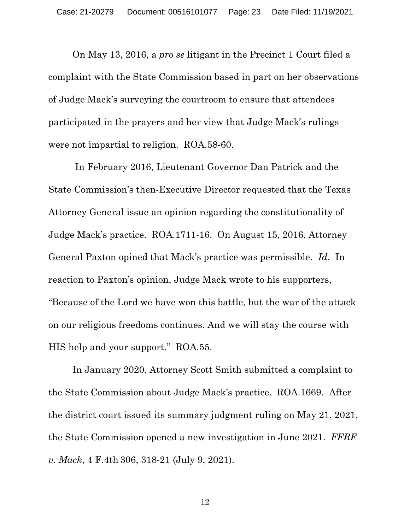On May 13, 2016, a *pro se* litigant in the Precinct 1 Court filed a complaint with the State Commission based in part on her observations of Judge Mack's surveying the courtroom to ensure that attendees participated in the prayers and her view that Judge Mack's rulings were not impartial to religion. ROA.58-60.

In February 2016, Lieutenant Governor Dan Patrick and the State Commission's then-Executive Director requested that the Texas Attorney General issue an opinion regarding the constitutionality of Judge Mack's practice. ROA.1711-16. On August 15, 2016, Attorney General Paxton opined that Mack's practice was permissible. *Id*. In reaction to Paxton's opinion, Judge Mack wrote to his supporters, "Because of the Lord we have won this battle, but the war of the attack on our religious freedoms continues. And we will stay the course with HIS help and your support." ROA.55.

In January 2020, Attorney Scott Smith submitted a complaint to the State Commission about Judge Mack's practice. ROA.1669. After the district court issued its summary judgment ruling on May 21, 2021, the State Commission opened a new investigation in June 2021. *FFRF v. Mack*, 4 F.4th 306, 318-21 (July 9, 2021).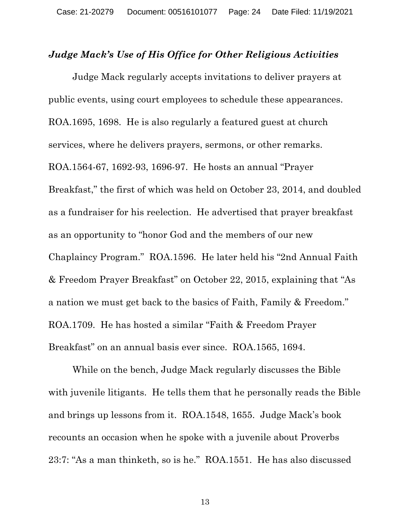#### *Judge Mack's Use of His Office for Other Religious Activities*

Judge Mack regularly accepts invitations to deliver prayers at public events, using court employees to schedule these appearances. ROA.1695, 1698. He is also regularly a featured guest at church services, where he delivers prayers, sermons, or other remarks. ROA.1564-67, 1692-93, 1696-97. He hosts an annual "Prayer Breakfast," the first of which was held on October 23, 2014, and doubled as a fundraiser for his reelection. He advertised that prayer breakfast as an opportunity to "honor God and the members of our new Chaplaincy Program." ROA.1596. He later held his "2nd Annual Faith & Freedom Prayer Breakfast" on October 22, 2015, explaining that "As a nation we must get back to the basics of Faith, Family & Freedom." ROA.1709. He has hosted a similar "Faith & Freedom Prayer Breakfast" on an annual basis ever since. ROA.1565, 1694.

While on the bench, Judge Mack regularly discusses the Bible with juvenile litigants. He tells them that he personally reads the Bible and brings up lessons from it. ROA.1548, 1655. Judge Mack's book recounts an occasion when he spoke with a juvenile about Proverbs 23:7: "As a man thinketh, so is he." ROA.1551. He has also discussed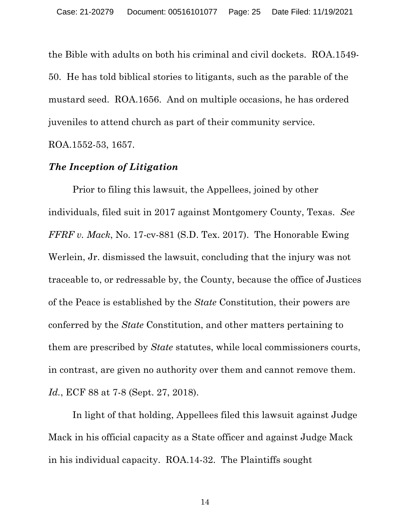the Bible with adults on both his criminal and civil dockets. ROA.1549- 50. He has told biblical stories to litigants, such as the parable of the mustard seed. ROA.1656. And on multiple occasions, he has ordered juveniles to attend church as part of their community service. ROA.1552-53, 1657.

#### *The Inception of Litigation*

Prior to filing this lawsuit, the Appellees, joined by other individuals, filed suit in 2017 against Montgomery County, Texas. *See FFRF v. Mack*, No. 17-cv-881 (S.D. Tex. 2017). The Honorable Ewing Werlein, Jr. dismissed the lawsuit, concluding that the injury was not traceable to, or redressable by, the County, because the office of Justices of the Peace is established by the *State* Constitution, their powers are conferred by the *State* Constitution, and other matters pertaining to them are prescribed by *State* statutes, while local commissioners courts, in contrast, are given no authority over them and cannot remove them. *Id.*, ECF 88 at 7-8 (Sept. 27, 2018).

In light of that holding, Appellees filed this lawsuit against Judge Mack in his official capacity as a State officer and against Judge Mack in his individual capacity. ROA.14-32. The Plaintiffs sought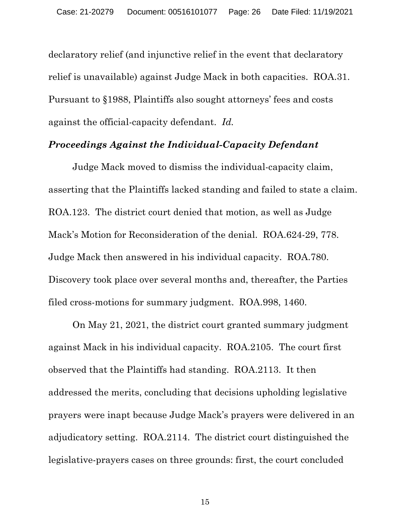declaratory relief (and injunctive relief in the event that declaratory relief is unavailable) against Judge Mack in both capacities. ROA.31. Pursuant to §1988, Plaintiffs also sought attorneys' fees and costs against the official-capacity defendant. *Id.*

### *Proceedings Against the Individual-Capacity Defendant*

Judge Mack moved to dismiss the individual-capacity claim, asserting that the Plaintiffs lacked standing and failed to state a claim. ROA.123. The district court denied that motion, as well as Judge Mack's Motion for Reconsideration of the denial. ROA.624-29, 778. Judge Mack then answered in his individual capacity. ROA.780. Discovery took place over several months and, thereafter, the Parties filed cross-motions for summary judgment. ROA.998, 1460.

On May 21, 2021, the district court granted summary judgment against Mack in his individual capacity. ROA.2105. The court first observed that the Plaintiffs had standing. ROA.2113. It then addressed the merits, concluding that decisions upholding legislative prayers were inapt because Judge Mack's prayers were delivered in an adjudicatory setting. ROA.2114. The district court distinguished the legislative-prayers cases on three grounds: first, the court concluded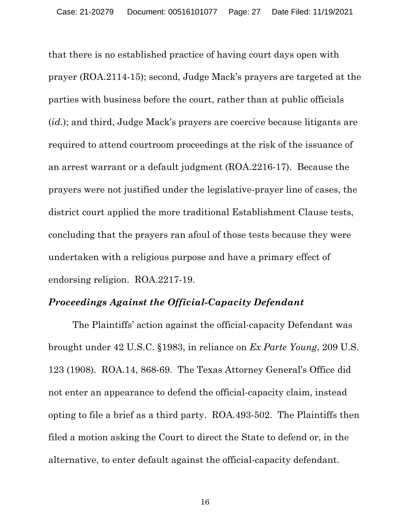that there is no established practice of having court days open with prayer (ROA.2114-15); second, Judge Mack's prayers are targeted at the parties with business before the court, rather than at public officials (*id.*); and third, Judge Mack's prayers are coercive because litigants are required to attend courtroom proceedings at the risk of the issuance of an arrest warrant or a default judgment (ROA.2216-17). Because the prayers were not justified under the legislative-prayer line of cases, the district court applied the more traditional Establishment Clause tests, concluding that the prayers ran afoul of those tests because they were undertaken with a religious purpose and have a primary effect of endorsing religion. ROA.2217-19.

### *Proceedings Against the Official-Capacity Defendant*

The Plaintiffs' action against the official-capacity Defendant was brought under 42 U.S.C. §1983, in reliance on *Ex Parte Young*, 209 U.S. 123 (1908). ROA.14, 868-69. The Texas Attorney General's Office did not enter an appearance to defend the official-capacity claim, instead opting to file a brief as a third party. ROA.493-502. The Plaintiffs then filed a motion asking the Court to direct the State to defend or, in the alternative, to enter default against the official-capacity defendant.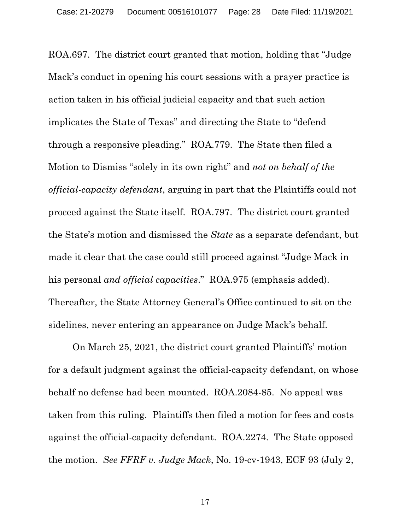ROA.697. The district court granted that motion, holding that "Judge Mack's conduct in opening his court sessions with a prayer practice is action taken in his official judicial capacity and that such action implicates the State of Texas" and directing the State to "defend through a responsive pleading." ROA.779. The State then filed a Motion to Dismiss "solely in its own right" and *not on behalf of the official-capacity defendant*, arguing in part that the Plaintiffs could not proceed against the State itself. ROA.797. The district court granted the State's motion and dismissed the *State* as a separate defendant, but made it clear that the case could still proceed against "Judge Mack in his personal *and official capacities*." ROA.975 (emphasis added). Thereafter, the State Attorney General's Office continued to sit on the sidelines, never entering an appearance on Judge Mack's behalf.

On March 25, 2021, the district court granted Plaintiffs' motion for a default judgment against the official-capacity defendant, on whose behalf no defense had been mounted. ROA.2084-85. No appeal was taken from this ruling. Plaintiffs then filed a motion for fees and costs against the official-capacity defendant. ROA.2274. The State opposed the motion. *See FFRF v. Judge Mack*, No. 19-cv-1943, ECF 93 (July 2,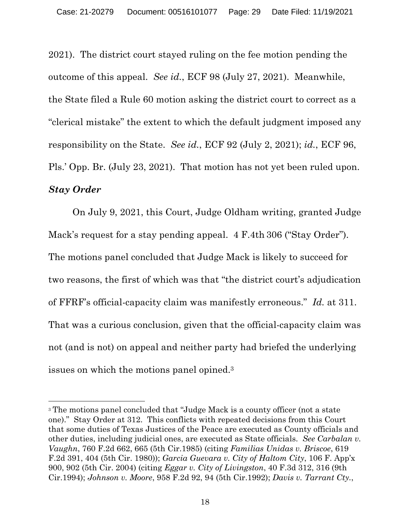2021). The district court stayed ruling on the fee motion pending the outcome of this appeal. *See id.*, ECF 98 (July 27, 2021). Meanwhile, the State filed a Rule 60 motion asking the district court to correct as a "clerical mistake" the extent to which the default judgment imposed any responsibility on the State. *See id.*, ECF 92 (July 2, 2021); *id.*, ECF 96, Pls.' Opp. Br. (July 23, 2021). That motion has not yet been ruled upon. *Stay Order*

On July 9, 2021, this Court, Judge Oldham writing, granted Judge Mack's request for a stay pending appeal. 4 F.4th 306 ("Stay Order"). The motions panel concluded that Judge Mack is likely to succeed for two reasons, the first of which was that "the district court's adjudication of FFRF's official-capacity claim was manifestly erroneous." *Id.* at 311. That was a curious conclusion, given that the official-capacity claim was not (and is not) on appeal and neither party had briefed the underlying issues on which the motions panel opined.3

<sup>3</sup> The motions panel concluded that "Judge Mack is a county officer (not a state one)." Stay Order at 312. This conflicts with repeated decisions from this Court that some duties of Texas Justices of the Peace are executed as County officials and other duties, including judicial ones, are executed as State officials. *See Carbalan v. Vaughn*, 760 F.2d 662, 665 (5th Cir.1985) (citing *Familias Unidas v. Briscoe*, 619 F.2d 391, 404 (5th Cir. 1980)); *Garcia Guevara v. City of Haltom City*, 106 F. App'x 900, 902 (5th Cir. 2004) (citing *Eggar v. City of Livingston*, 40 F.3d 312, 316 (9th Cir.1994); *Johnson v. Moore*, 958 F.2d 92, 94 (5th Cir.1992); *Davis v. Tarrant Cty.*,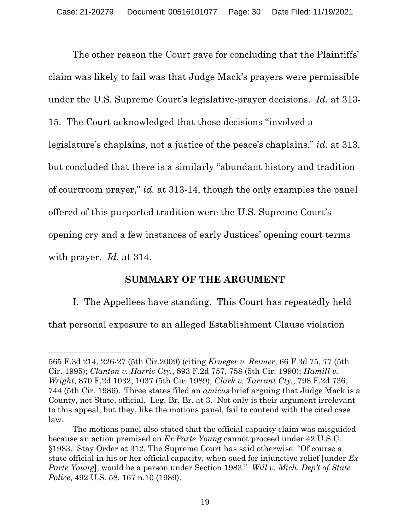The other reason the Court gave for concluding that the Plaintiffs' claim was likely to fail was that Judge Mack's prayers were permissible under the U.S. Supreme Court's legislative-prayer decisions. *Id.* at 313- 15. The Court acknowledged that those decisions "involved a legislature's chaplains, not a justice of the peace's chaplains," *id.* at 313, but concluded that there is a similarly "abundant history and tradition of courtroom prayer," *id.* at 313-14, though the only examples the panel offered of this purported tradition were the U.S. Supreme Court's opening cry and a few instances of early Justices' opening court terms with prayer. *Id.* at 314.

## **SUMMARY OF THE ARGUMENT**

I. The Appellees have standing. This Court has repeatedly held

that personal exposure to an alleged Establishment Clause violation

<sup>565</sup> F.3d 214, 226-27 (5th Cir.2009) (citing *Krueger v. Reimer*, 66 F.3d 75, 77 (5th Cir. 1995); *Clanton v. Harris Cty.*, 893 F.2d 757, 758 (5th Cir. 1990); *Hamill v. Wright*, 870 F.2d 1032, 1037 (5th Cir. 1989); *Clark v. Tarrant Cty.*, 798 F.2d 736, 744 (5th Cir. 1986). Three states filed an *amicus* brief arguing that Judge Mack is a County, not State, official. Leg. Br. Br. at 3. Not only is their argument irrelevant to this appeal, but they, like the motions panel, fail to contend with the cited case law.

The motions panel also stated that the official-capacity claim was misguided because an action premised on *Ex Parte Young* cannot proceed under 42 U.S.C. §1983. Stay Order at 312. The Supreme Court has said otherwise: "Of course a state official in his or her official capacity, when sued for injunctive relief [under *Ex Parte Young*], would be a person under Section 1983." *Will v. Mich. Dep't of State Police*, 492 U.S. 58, 167 n.10 (1989).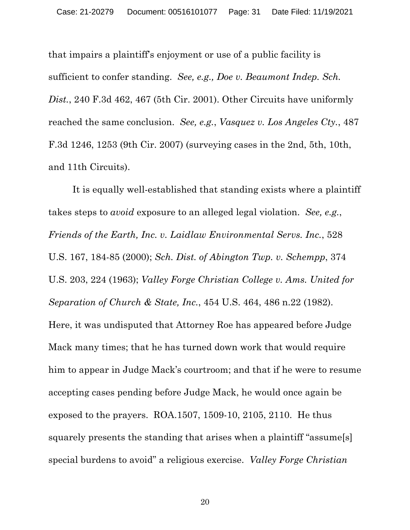that impairs a plaintiff's enjoyment or use of a public facility is sufficient to confer standing. *See, e.g., Doe v. Beaumont Indep. Sch. Dist.*, 240 F.3d 462, 467 (5th Cir. 2001). Other Circuits have uniformly reached the same conclusion. *See, e.g.*, *Vasquez v. Los Angeles Cty.*, 487 F.3d 1246, 1253 (9th Cir. 2007) (surveying cases in the 2nd, 5th, 10th, and 11th Circuits).

It is equally well-established that standing exists where a plaintiff takes steps to *avoid* exposure to an alleged legal violation. *See, e.g.*, *Friends of the Earth, Inc. v. Laidlaw Environmental Servs. Inc.*, 528 U.S. 167, 184-85 (2000); *Sch. Dist. of Abington Twp. v. Schempp*, 374 U.S. 203, 224 (1963); *Valley Forge Christian College v. Ams. United for Separation of Church & State, Inc.*, 454 U.S. 464, 486 n.22 (1982). Here, it was undisputed that Attorney Roe has appeared before Judge Mack many times; that he has turned down work that would require him to appear in Judge Mack's courtroom; and that if he were to resume accepting cases pending before Judge Mack, he would once again be exposed to the prayers. ROA.1507, 1509-10, 2105, 2110. He thus squarely presents the standing that arises when a plaintiff "assume[s] special burdens to avoid" a religious exercise. *Valley Forge Christian*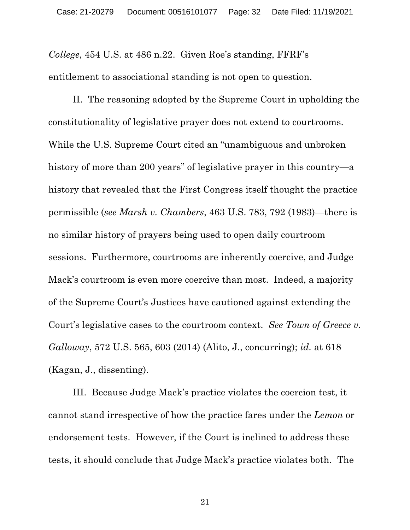*College*, 454 U.S. at 486 n.22. Given Roe's standing, FFRF's entitlement to associational standing is not open to question.

II. The reasoning adopted by the Supreme Court in upholding the constitutionality of legislative prayer does not extend to courtrooms. While the U.S. Supreme Court cited an "unambiguous and unbroken history of more than 200 years" of legislative prayer in this country—a history that revealed that the First Congress itself thought the practice permissible (*see Marsh v. Chambers*, 463 U.S. 783, 792 (1983)—there is no similar history of prayers being used to open daily courtroom sessions. Furthermore, courtrooms are inherently coercive, and Judge Mack's courtroom is even more coercive than most. Indeed, a majority of the Supreme Court's Justices have cautioned against extending the Court's legislative cases to the courtroom context. *See Town of Greece v. Galloway*, 572 U.S. 565, 603 (2014) (Alito, J., concurring); *id.* at 618 (Kagan, J., dissenting).

III. Because Judge Mack's practice violates the coercion test, it cannot stand irrespective of how the practice fares under the *Lemon* or endorsement tests. However, if the Court is inclined to address these tests, it should conclude that Judge Mack's practice violates both. The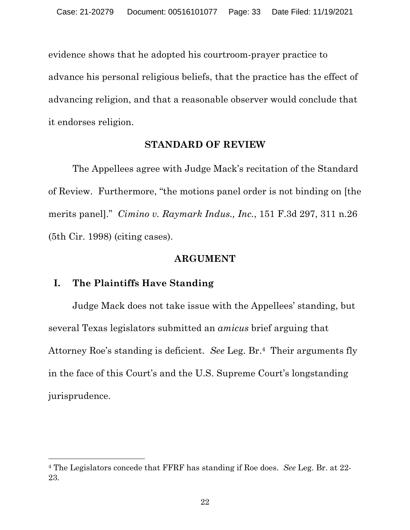evidence shows that he adopted his courtroom-prayer practice to advance his personal religious beliefs, that the practice has the effect of advancing religion, and that a reasonable observer would conclude that it endorses religion.

#### **STANDARD OF REVIEW**

The Appellees agree with Judge Mack's recitation of the Standard of Review. Furthermore, "the motions panel order is not binding on [the merits panel]." *Cimino v. Raymark Indus., Inc.*, 151 F.3d 297, 311 n.26 (5th Cir. 1998) (citing cases).

#### **ARGUMENT**

#### **I. The Plaintiffs Have Standing**

Judge Mack does not take issue with the Appellees' standing, but several Texas legislators submitted an *amicus* brief arguing that Attorney Roe's standing is deficient. *See* Leg. Br.4 Their arguments fly in the face of this Court's and the U.S. Supreme Court's longstanding jurisprudence.

<sup>4</sup> The Legislators concede that FFRF has standing if Roe does. *See* Leg. Br. at 22- 23.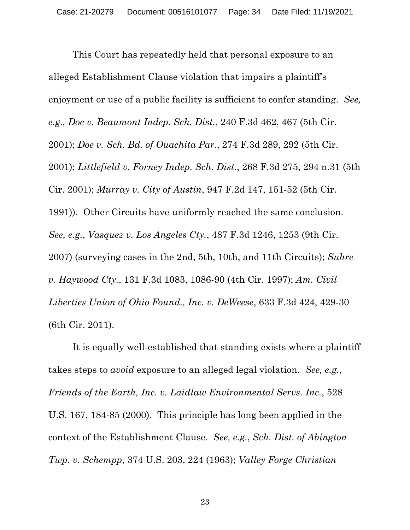This Court has repeatedly held that personal exposure to an alleged Establishment Clause violation that impairs a plaintiff's enjoyment or use of a public facility is sufficient to confer standing. *See, e.g., Doe v. Beaumont Indep. Sch. Dist.*, 240 F.3d 462, 467 (5th Cir. 2001); *Doe v. Sch. Bd. of Ouachita Par.*, 274 F.3d 289, 292 (5th Cir. 2001); *Littlefield v. Forney Indep. Sch. Dist.*, 268 F.3d 275, 294 n.31 (5th Cir. 2001); *Murray v. City of Austin*, 947 F.2d 147, 151-52 (5th Cir. 1991)). Other Circuits have uniformly reached the same conclusion. *See, e.g.*, *Vasquez v. Los Angeles Cty.*, 487 F.3d 1246, 1253 (9th Cir. 2007) (surveying cases in the 2nd, 5th, 10th, and 11th Circuits); *Suhre v. Haywood Cty.*, 131 F.3d 1083, 1086-90 (4th Cir. 1997); *Am. Civil Liberties Union of Ohio Found., Inc. v. DeWeese*, 633 F.3d 424, 429-30 (6th Cir. 2011).

It is equally well-established that standing exists where a plaintiff takes steps to *avoid* exposure to an alleged legal violation. *See, e.g.*, *Friends of the Earth, Inc. v. Laidlaw Environmental Servs. Inc.*, 528 U.S. 167, 184-85 (2000). This principle has long been applied in the context of the Establishment Clause. *See, e.g.*, *Sch. Dist. of Abington Twp. v. Schempp*, 374 U.S. 203, 224 (1963); *Valley Forge Christian*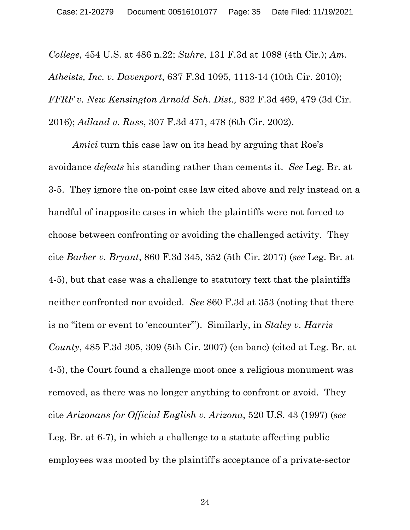*College*, 454 U.S. at 486 n.22; *Suhre*, 131 F.3d at 1088 (4th Cir.); *Am. Atheists, Inc. v. Davenport*, 637 F.3d 1095, 1113-14 (10th Cir. 2010); *FFRF v. New Kensington Arnold Sch. Dist.,* 832 F.3d 469, 479 (3d Cir. 2016); *Adland v. Russ*, 307 F.3d 471, 478 (6th Cir. 2002).

*Amici* turn this case law on its head by arguing that Roe's avoidance *defeats* his standing rather than cements it. *See* Leg. Br. at 3-5. They ignore the on-point case law cited above and rely instead on a handful of inapposite cases in which the plaintiffs were not forced to choose between confronting or avoiding the challenged activity. They cite *Barber v. Bryant*, 860 F.3d 345, 352 (5th Cir. 2017) (*see* Leg. Br. at 4-5), but that case was a challenge to statutory text that the plaintiffs neither confronted nor avoided. *See* 860 F.3d at 353 (noting that there is no "item or event to 'encounter'"). Similarly, in *Staley v. Harris County*, 485 F.3d 305, 309 (5th Cir. 2007) (en banc) (cited at Leg. Br. at 4-5), the Court found a challenge moot once a religious monument was removed, as there was no longer anything to confront or avoid. They cite *Arizonans for Official English v. Arizona*, 520 U.S. 43 (1997) (*see* Leg. Br. at 6-7), in which a challenge to a statute affecting public employees was mooted by the plaintiff's acceptance of a private-sector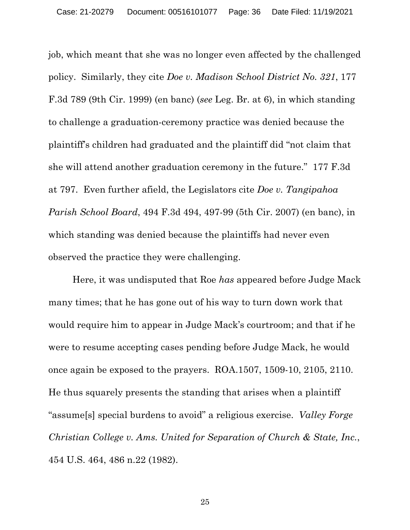job, which meant that she was no longer even affected by the challenged policy. Similarly, they cite *Doe v. Madison School District No. 321*, 177 F.3d 789 (9th Cir. 1999) (en banc) (*see* Leg. Br. at 6), in which standing to challenge a graduation-ceremony practice was denied because the plaintiff's children had graduated and the plaintiff did "not claim that she will attend another graduation ceremony in the future." 177 F.3d at 797. Even further afield, the Legislators cite *Doe v. Tangipahoa Parish School Board*, 494 F.3d 494, 497-99 (5th Cir. 2007) (en banc), in which standing was denied because the plaintiffs had never even observed the practice they were challenging.

Here, it was undisputed that Roe *has* appeared before Judge Mack many times; that he has gone out of his way to turn down work that would require him to appear in Judge Mack's courtroom; and that if he were to resume accepting cases pending before Judge Mack, he would once again be exposed to the prayers. ROA.1507, 1509-10, 2105, 2110. He thus squarely presents the standing that arises when a plaintiff "assume[s] special burdens to avoid" a religious exercise. *Valley Forge Christian College v. Ams. United for Separation of Church & State, Inc.*, 454 U.S. 464, 486 n.22 (1982).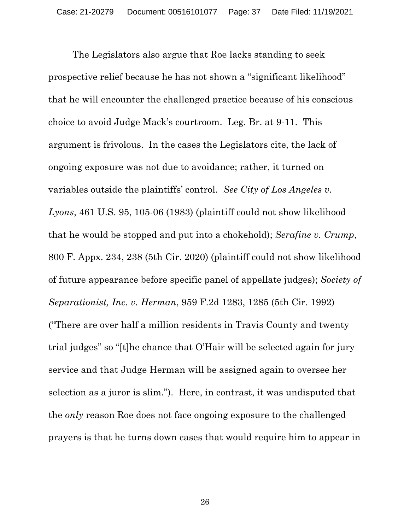The Legislators also argue that Roe lacks standing to seek prospective relief because he has not shown a "significant likelihood" that he will encounter the challenged practice because of his conscious choice to avoid Judge Mack's courtroom. Leg. Br. at 9-11. This argument is frivolous. In the cases the Legislators cite, the lack of ongoing exposure was not due to avoidance; rather, it turned on variables outside the plaintiffs' control. *See City of Los Angeles v. Lyons*, 461 U.S. 95, 105-06 (1983) (plaintiff could not show likelihood that he would be stopped and put into a chokehold); *Serafine v. Crump*, 800 F. Appx. 234, 238 (5th Cir. 2020) (plaintiff could not show likelihood of future appearance before specific panel of appellate judges); *Society of Separationist, Inc. v. Herman*, 959 F.2d 1283, 1285 (5th Cir. 1992) ("There are over half a million residents in Travis County and twenty trial judges" so "[t]he chance that O'Hair will be selected again for jury service and that Judge Herman will be assigned again to oversee her selection as a juror is slim."). Here, in contrast, it was undisputed that the *only* reason Roe does not face ongoing exposure to the challenged prayers is that he turns down cases that would require him to appear in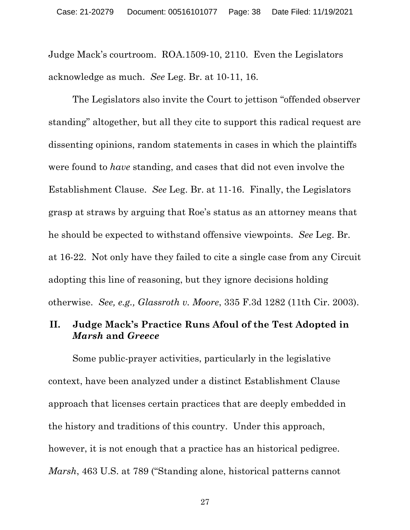Judge Mack's courtroom. ROA.1509-10, 2110. Even the Legislators acknowledge as much. *See* Leg. Br. at 10-11, 16.

The Legislators also invite the Court to jettison "offended observer standing" altogether, but all they cite to support this radical request are dissenting opinions, random statements in cases in which the plaintiffs were found to *have* standing, and cases that did not even involve the Establishment Clause. *See* Leg. Br. at 11-16. Finally, the Legislators grasp at straws by arguing that Roe's status as an attorney means that he should be expected to withstand offensive viewpoints. *See* Leg. Br. at 16-22. Not only have they failed to cite a single case from any Circuit adopting this line of reasoning, but they ignore decisions holding otherwise. *See, e.g., Glassroth v. Moore*, 335 F.3d 1282 (11th Cir. 2003).

# **II. Judge Mack's Practice Runs Afoul of the Test Adopted in** *Marsh* **and** *Greece*

Some public-prayer activities, particularly in the legislative context, have been analyzed under a distinct Establishment Clause approach that licenses certain practices that are deeply embedded in the history and traditions of this country. Under this approach, however, it is not enough that a practice has an historical pedigree. *Marsh*, 463 U.S. at 789 ("Standing alone, historical patterns cannot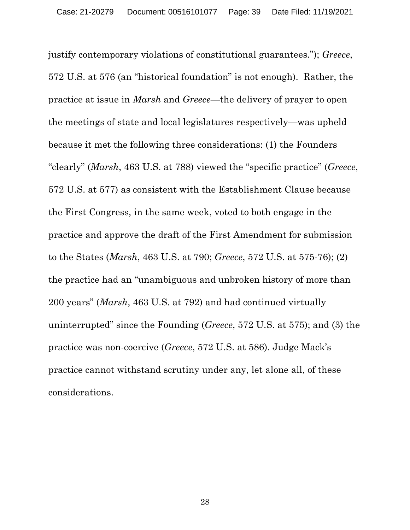justify contemporary violations of constitutional guarantees."); *Greece*, 572 U.S. at 576 (an "historical foundation" is not enough). Rather, the practice at issue in *Marsh* and *Greece*—the delivery of prayer to open the meetings of state and local legislatures respectively—was upheld because it met the following three considerations: (1) the Founders "clearly" (*Marsh*, 463 U.S. at 788) viewed the "specific practice" (*Greece*, 572 U.S. at 577) as consistent with the Establishment Clause because the First Congress, in the same week, voted to both engage in the practice and approve the draft of the First Amendment for submission to the States (*Marsh*, 463 U.S. at 790; *Greece*, 572 U.S. at 575-76); (2) the practice had an "unambiguous and unbroken history of more than 200 years" (*Marsh*, 463 U.S. at 792) and had continued virtually uninterrupted" since the Founding (*Greece*, 572 U.S. at 575); and (3) the practice was non-coercive (*Greece*, 572 U.S. at 586). Judge Mack's practice cannot withstand scrutiny under any, let alone all, of these considerations.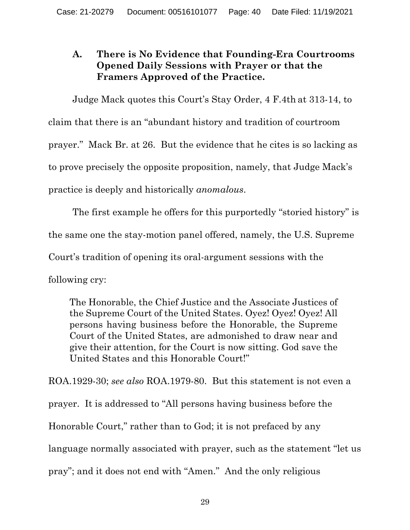# **A. There is No Evidence that Founding-Era Courtrooms Opened Daily Sessions with Prayer or that the Framers Approved of the Practice.**

Judge Mack quotes this Court's Stay Order, 4 F.4th at 313-14, to claim that there is an "abundant history and tradition of courtroom prayer." Mack Br. at 26. But the evidence that he cites is so lacking as to prove precisely the opposite proposition, namely, that Judge Mack's practice is deeply and historically *anomalous*.

The first example he offers for this purportedly "storied history" is the same one the stay-motion panel offered, namely, the U.S. Supreme Court's tradition of opening its oral-argument sessions with the following cry:

The Honorable, the Chief Justice and the Associate Justices of the Supreme Court of the United States. Oyez! Oyez! Oyez! All persons having business before the Honorable, the Supreme Court of the United States, are admonished to draw near and give their attention, for the Court is now sitting. God save the United States and this Honorable Court!"

ROA.1929-30; *see also* ROA.1979-80. But this statement is not even a prayer. It is addressed to "All persons having business before the Honorable Court," rather than to God; it is not prefaced by any language normally associated with prayer, such as the statement "let us pray"; and it does not end with "Amen." And the only religious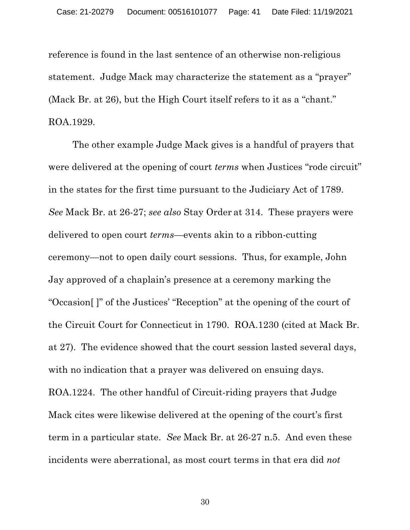reference is found in the last sentence of an otherwise non-religious statement. Judge Mack may characterize the statement as a "prayer" (Mack Br. at 26), but the High Court itself refers to it as a "chant." ROA.1929.

The other example Judge Mack gives is a handful of prayers that were delivered at the opening of court *terms* when Justices "rode circuit" in the states for the first time pursuant to the Judiciary Act of 1789. *See* Mack Br. at 26-27; *see also* Stay Order at 314. These prayers were delivered to open court *terms*—events akin to a ribbon-cutting ceremony—not to open daily court sessions. Thus, for example, John Jay approved of a chaplain's presence at a ceremony marking the "Occasion[ ]" of the Justices' "Reception" at the opening of the court of the Circuit Court for Connecticut in 1790. ROA.1230 (cited at Mack Br. at 27). The evidence showed that the court session lasted several days, with no indication that a prayer was delivered on ensuing days. ROA.1224. The other handful of Circuit-riding prayers that Judge Mack cites were likewise delivered at the opening of the court's first term in a particular state. *See* Mack Br. at 26-27 n.5. And even these incidents were aberrational, as most court terms in that era did *not*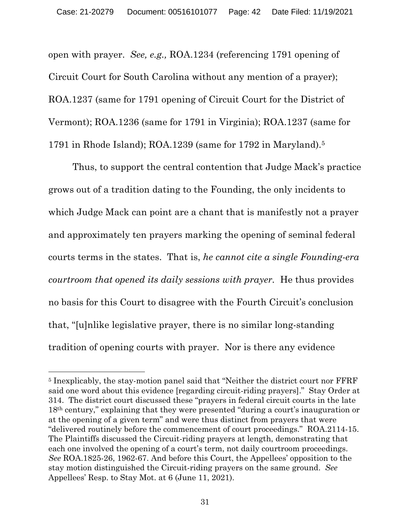open with prayer. *See, e.g.,* ROA.1234 (referencing 1791 opening of Circuit Court for South Carolina without any mention of a prayer); ROA.1237 (same for 1791 opening of Circuit Court for the District of Vermont); ROA.1236 (same for 1791 in Virginia); ROA.1237 (same for 1791 in Rhode Island); ROA.1239 (same for 1792 in Maryland).5

Thus, to support the central contention that Judge Mack's practice grows out of a tradition dating to the Founding, the only incidents to which Judge Mack can point are a chant that is manifestly not a prayer and approximately ten prayers marking the opening of seminal federal courts terms in the states. That is, *he cannot cite a single Founding-era courtroom that opened its daily sessions with prayer.* He thus provides no basis for this Court to disagree with the Fourth Circuit's conclusion that, "[u]nlike legislative prayer, there is no similar long-standing tradition of opening courts with prayer. Nor is there any evidence

<sup>5</sup> Inexplicably, the stay-motion panel said that "Neither the district court nor FFRF said one word about this evidence [regarding circuit-riding prayers]." Stay Order at 314. The district court discussed these "prayers in federal circuit courts in the late 18th century," explaining that they were presented "during a court's inauguration or at the opening of a given term" and were thus distinct from prayers that were "delivered routinely before the commencement of court proceedings." ROA.2114-15. The Plaintiffs discussed the Circuit-riding prayers at length, demonstrating that each one involved the opening of a court's term, not daily courtroom proceedings. *See* ROA.1825-26, 1962-67. And before this Court, the Appellees' opposition to the stay motion distinguished the Circuit-riding prayers on the same ground. *See* Appellees' Resp. to Stay Mot. at 6 (June 11, 2021).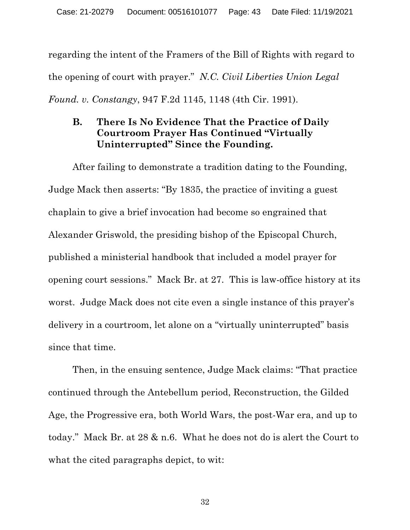regarding the intent of the Framers of the Bill of Rights with regard to the opening of court with prayer." *N.C. Civil Liberties Union Legal Found. v. Constangy*, 947 F.2d 1145, 1148 (4th Cir. 1991).

# **B. There Is No Evidence That the Practice of Daily Courtroom Prayer Has Continued "Virtually Uninterrupted" Since the Founding.**

After failing to demonstrate a tradition dating to the Founding, Judge Mack then asserts: "By 1835, the practice of inviting a guest chaplain to give a brief invocation had become so engrained that Alexander Griswold, the presiding bishop of the Episcopal Church, published a ministerial handbook that included a model prayer for opening court sessions." Mack Br. at 27. This is law-office history at its worst. Judge Mack does not cite even a single instance of this prayer's delivery in a courtroom, let alone on a "virtually uninterrupted" basis since that time.

Then, in the ensuing sentence, Judge Mack claims: "That practice continued through the Antebellum period, Reconstruction, the Gilded Age, the Progressive era, both World Wars, the post-War era, and up to today." Mack Br. at 28 & n.6. What he does not do is alert the Court to what the cited paragraphs depict, to wit: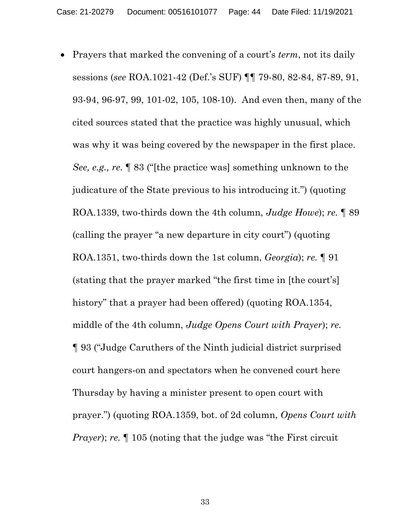• Prayers that marked the convening of a court's *term*, not its daily sessions (*see* ROA.1021-42 (Def.'s SUF) ¶¶ 79-80, 82-84, 87-89, 91, 93-94, 96-97, 99, 101-02, 105, 108-10). And even then, many of the cited sources stated that the practice was highly unusual, which was why it was being covered by the newspaper in the first place. *See, e.g., re.* ¶ 83 ("[the practice was] something unknown to the judicature of the State previous to his introducing it.") (quoting ROA.1339, two-thirds down the 4th column, *Judge Howe*); *re.* ¶ 89 (calling the prayer "a new departure in city court") (quoting ROA.1351, two-thirds down the 1st column, *Georgia*); *re.* ¶ 91 (stating that the prayer marked "the first time in [the court's] history" that a prayer had been offered) (quoting ROA.1354, middle of the 4th column, *Judge Opens Court with Prayer*); *re.* ¶ 93 ("Judge Caruthers of the Ninth judicial district surprised court hangers-on and spectators when he convened court here Thursday by having a minister present to open court with prayer.") (quoting ROA.1359, bot. of 2d column, *Opens Court with Prayer*); *re.*  $\llbracket$  105 (noting that the judge was "the First circuit"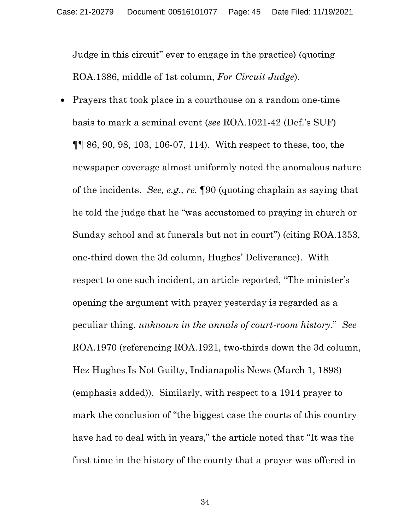Judge in this circuit" ever to engage in the practice) (quoting ROA.1386, middle of 1st column, *For Circuit Judge*).

• Prayers that took place in a courthouse on a random one-time basis to mark a seminal event (*see* ROA.1021-42 (Def.'s SUF) ¶¶ 86, 90, 98, 103, 106-07, 114). With respect to these, too, the newspaper coverage almost uniformly noted the anomalous nature of the incidents. *See, e.g., re.* ¶90 (quoting chaplain as saying that he told the judge that he "was accustomed to praying in church or Sunday school and at funerals but not in court") (citing ROA.1353, one-third down the 3d column, Hughes' Deliverance). With respect to one such incident, an article reported, "The minister's opening the argument with prayer yesterday is regarded as a peculiar thing, *unknown in the annals of court-room history*." *See*  ROA.1970 (referencing ROA.1921, two-thirds down the 3d column, Hez Hughes Is Not Guilty, Indianapolis News (March 1, 1898) (emphasis added)). Similarly, with respect to a 1914 prayer to mark the conclusion of "the biggest case the courts of this country have had to deal with in years," the article noted that "It was the first time in the history of the county that a prayer was offered in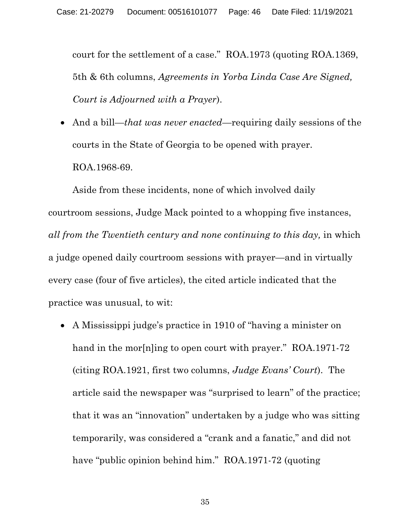court for the settlement of a case." ROA.1973 (quoting ROA.1369, 5th & 6th columns, *Agreements in Yorba Linda Case Are Signed, Court is Adjourned with a Prayer*).

• And a bill—*that was never enacted*—requiring daily sessions of the courts in the State of Georgia to be opened with prayer. ROA.1968-69.

Aside from these incidents, none of which involved daily courtroom sessions, Judge Mack pointed to a whopping five instances, *all from the Twentieth century and none continuing to this day,* in which a judge opened daily courtroom sessions with prayer—and in virtually every case (four of five articles), the cited article indicated that the practice was unusual, to wit:

• A Mississippi judge's practice in 1910 of "having a minister on hand in the morthling to open court with prayer." ROA.1971-72 (citing ROA.1921, first two columns, *Judge Evans' Court*). The article said the newspaper was "surprised to learn" of the practice; that it was an "innovation" undertaken by a judge who was sitting temporarily, was considered a "crank and a fanatic," and did not have "public opinion behind him." ROA.1971-72 (quoting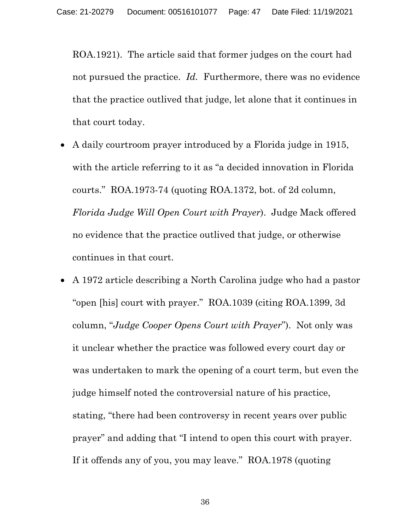ROA.1921). The article said that former judges on the court had not pursued the practice. *Id.* Furthermore, there was no evidence that the practice outlived that judge, let alone that it continues in that court today.

- A daily courtroom prayer introduced by a Florida judge in 1915, with the article referring to it as "a decided innovation in Florida courts." ROA.1973-74 (quoting ROA.1372, bot. of 2d column, *Florida Judge Will Open Court with Prayer*). Judge Mack offered no evidence that the practice outlived that judge, or otherwise continues in that court.
- A 1972 article describing a North Carolina judge who had a pastor "open [his] court with prayer." ROA.1039 (citing ROA.1399, 3d column, "*Judge Cooper Opens Court with Prayer*"). Not only was it unclear whether the practice was followed every court day or was undertaken to mark the opening of a court term, but even the judge himself noted the controversial nature of his practice, stating, "there had been controversy in recent years over public prayer" and adding that "I intend to open this court with prayer. If it offends any of you, you may leave." ROA.1978 (quoting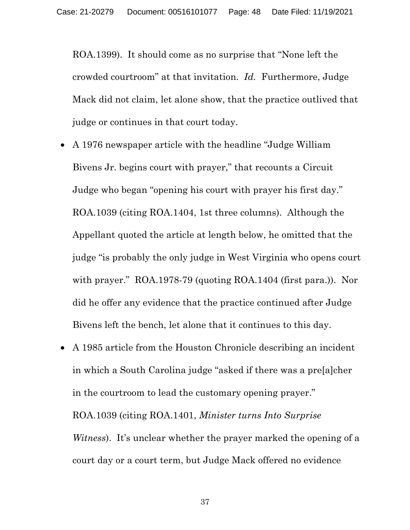ROA.1399). It should come as no surprise that "None left the crowded courtroom" at that invitation. *Id.* Furthermore, Judge Mack did not claim, let alone show, that the practice outlived that judge or continues in that court today.

- A 1976 newspaper article with the headline "Judge William Bivens Jr. begins court with prayer," that recounts a Circuit Judge who began "opening his court with prayer his first day." ROA.1039 (citing ROA.1404, 1st three columns). Although the Appellant quoted the article at length below, he omitted that the judge "is probably the only judge in West Virginia who opens court with prayer." ROA.1978-79 (quoting ROA.1404 (first para.)). Nor did he offer any evidence that the practice continued after Judge Bivens left the bench, let alone that it continues to this day.
- A 1985 article from the Houston Chronicle describing an incident in which a South Carolina judge "asked if there was a pre[a]cher in the courtroom to lead the customary opening prayer." ROA.1039 (citing ROA.1401, *Minister turns Into Surprise Witness*). It's unclear whether the prayer marked the opening of a court day or a court term, but Judge Mack offered no evidence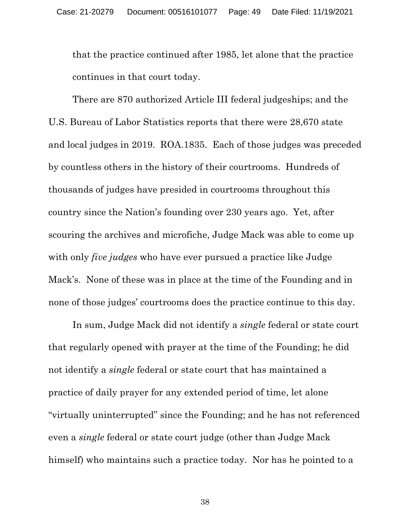that the practice continued after 1985, let alone that the practice continues in that court today.

There are 870 authorized Article III federal judgeships; and the U.S. Bureau of Labor Statistics reports that there were 28,670 state and local judges in 2019. ROA.1835. Each of those judges was preceded by countless others in the history of their courtrooms. Hundreds of thousands of judges have presided in courtrooms throughout this country since the Nation's founding over 230 years ago. Yet, after scouring the archives and microfiche, Judge Mack was able to come up with only *five judges* who have ever pursued a practice like Judge Mack's. None of these was in place at the time of the Founding and in none of those judges' courtrooms does the practice continue to this day.

In sum, Judge Mack did not identify a *single* federal or state court that regularly opened with prayer at the time of the Founding; he did not identify a *single* federal or state court that has maintained a practice of daily prayer for any extended period of time, let alone "virtually uninterrupted" since the Founding; and he has not referenced even a *single* federal or state court judge (other than Judge Mack himself) who maintains such a practice today. Nor has he pointed to a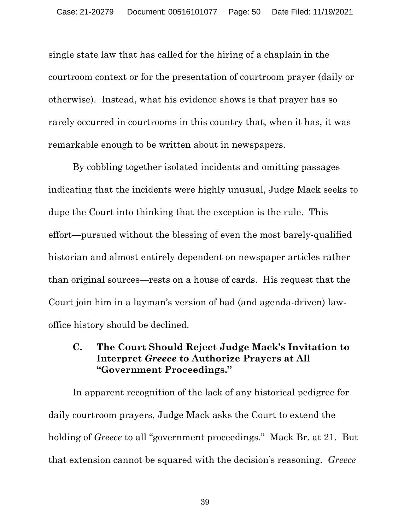single state law that has called for the hiring of a chaplain in the courtroom context or for the presentation of courtroom prayer (daily or otherwise). Instead, what his evidence shows is that prayer has so rarely occurred in courtrooms in this country that, when it has, it was remarkable enough to be written about in newspapers.

By cobbling together isolated incidents and omitting passages indicating that the incidents were highly unusual, Judge Mack seeks to dupe the Court into thinking that the exception is the rule. This effort—pursued without the blessing of even the most barely-qualified historian and almost entirely dependent on newspaper articles rather than original sources—rests on a house of cards. His request that the Court join him in a layman's version of bad (and agenda-driven) lawoffice history should be declined.

## **C. The Court Should Reject Judge Mack's Invitation to Interpret** *Greece* **to Authorize Prayers at All "Government Proceedings."**

In apparent recognition of the lack of any historical pedigree for daily courtroom prayers, Judge Mack asks the Court to extend the holding of *Greece* to all "government proceedings." Mack Br. at 21. But that extension cannot be squared with the decision's reasoning. *Greece*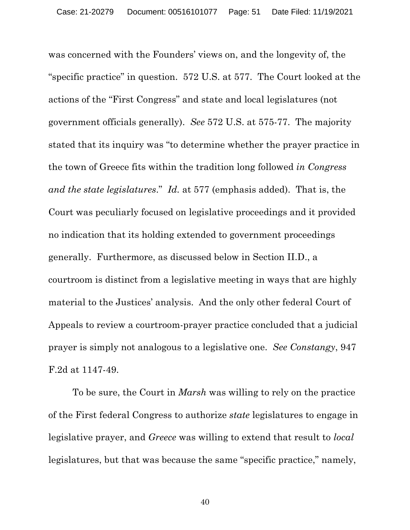was concerned with the Founders' views on, and the longevity of, the "specific practice" in question. 572 U.S. at 577. The Court looked at the actions of the "First Congress" and state and local legislatures (not government officials generally). *See* 572 U.S. at 575-77. The majority stated that its inquiry was "to determine whether the prayer practice in the town of Greece fits within the tradition long followed *in Congress and the state legislatures*." *Id.* at 577 (emphasis added). That is, the Court was peculiarly focused on legislative proceedings and it provided no indication that its holding extended to government proceedings generally. Furthermore, as discussed below in Section II.D., a courtroom is distinct from a legislative meeting in ways that are highly material to the Justices' analysis. And the only other federal Court of Appeals to review a courtroom-prayer practice concluded that a judicial prayer is simply not analogous to a legislative one. *See Constangy*, 947 F.2d at 1147-49.

To be sure, the Court in *Marsh* was willing to rely on the practice of the First federal Congress to authorize *state* legislatures to engage in legislative prayer, and *Greece* was willing to extend that result to *local*  legislatures, but that was because the same "specific practice," namely,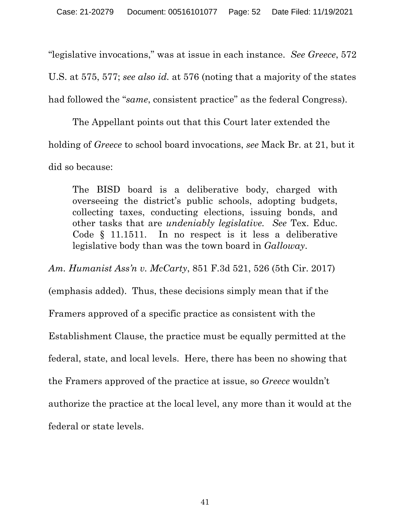"legislative invocations," was at issue in each instance. *See Greece*, 572 U.S. at 575, 577; *see also id.* at 576 (noting that a majority of the states had followed the "*same*, consistent practice" as the federal Congress).

The Appellant points out that this Court later extended the holding of *Greece* to school board invocations, *see* Mack Br. at 21, but it did so because:

The BISD board is a deliberative body, charged with overseeing the district's public schools, adopting budgets, collecting taxes, conducting elections, issuing bonds, and other tasks that are *undeniably legislative. See* Tex. Educ. Code § 11.1511. In no respect is it less a deliberative legislative body than was the town board in *Galloway*.

*Am. Humanist Ass'n v. McCarty*, 851 F.3d 521, 526 (5th Cir. 2017) (emphasis added). Thus, these decisions simply mean that if the Framers approved of a specific practice as consistent with the Establishment Clause, the practice must be equally permitted at the federal, state, and local levels. Here, there has been no showing that the Framers approved of the practice at issue, so *Greece* wouldn't authorize the practice at the local level, any more than it would at the federal or state levels.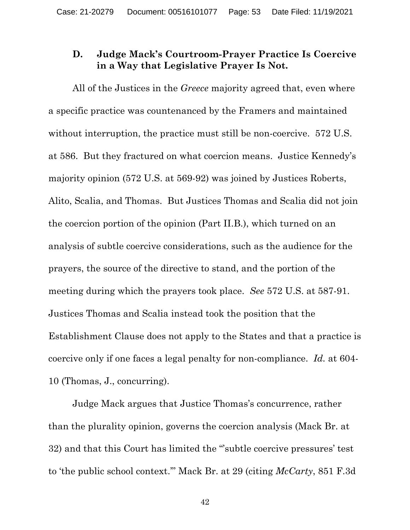## **D. Judge Mack's Courtroom-Prayer Practice Is Coercive in a Way that Legislative Prayer Is Not.**

All of the Justices in the *Greece* majority agreed that, even where a specific practice was countenanced by the Framers and maintained without interruption, the practice must still be non-coercive. 572 U.S. at 586. But they fractured on what coercion means. Justice Kennedy's majority opinion (572 U.S. at 569-92) was joined by Justices Roberts, Alito, Scalia, and Thomas. But Justices Thomas and Scalia did not join the coercion portion of the opinion (Part II.B.), which turned on an analysis of subtle coercive considerations, such as the audience for the prayers, the source of the directive to stand, and the portion of the meeting during which the prayers took place. *See* 572 U.S. at 587-91. Justices Thomas and Scalia instead took the position that the Establishment Clause does not apply to the States and that a practice is coercive only if one faces a legal penalty for non-compliance. *Id.* at 604- 10 (Thomas, J., concurring).

Judge Mack argues that Justice Thomas's concurrence, rather than the plurality opinion, governs the coercion analysis (Mack Br. at 32) and that this Court has limited the "'subtle coercive pressures' test to 'the public school context.'" Mack Br. at 29 (citing *McCarty*, 851 F.3d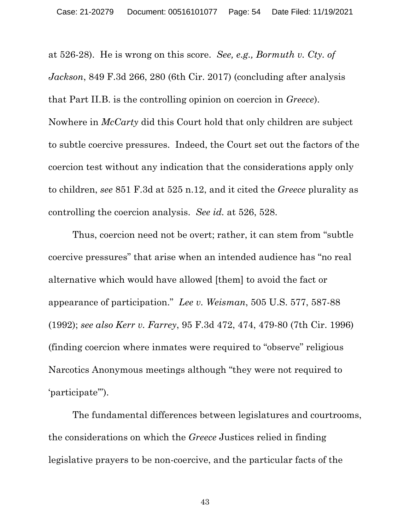at 526-28). He is wrong on this score. *See, e.g., Bormuth v. Cty. of Jackson*, 849 F.3d 266, 280 (6th Cir. 2017) (concluding after analysis that Part II.B. is the controlling opinion on coercion in *Greece*). Nowhere in *McCarty* did this Court hold that only children are subject to subtle coercive pressures. Indeed, the Court set out the factors of the coercion test without any indication that the considerations apply only to children, *see* 851 F.3d at 525 n.12, and it cited the *Greece* plurality as controlling the coercion analysis. *See id.* at 526, 528.

Thus, coercion need not be overt; rather, it can stem from "subtle coercive pressures" that arise when an intended audience has "no real alternative which would have allowed [them] to avoid the fact or appearance of participation." *Lee v. Weisman*, 505 U.S. 577, 587-88 (1992); *see also Kerr v. Farrey*, 95 F.3d 472, 474, 479-80 (7th Cir. 1996) (finding coercion where inmates were required to "observe" religious Narcotics Anonymous meetings although "they were not required to 'participate'").

The fundamental differences between legislatures and courtrooms, the considerations on which the *Greece* Justices relied in finding legislative prayers to be non-coercive, and the particular facts of the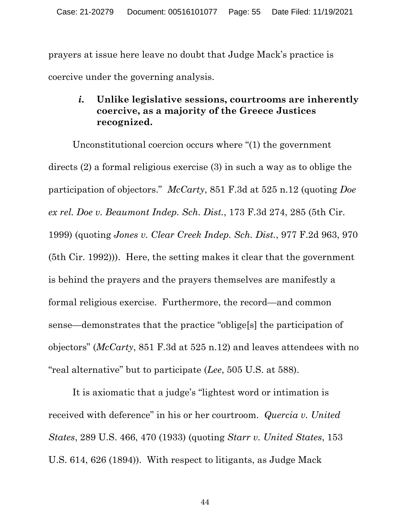prayers at issue here leave no doubt that Judge Mack's practice is coercive under the governing analysis.

## *i.* **Unlike legislative sessions, courtrooms are inherently coercive, as a majority of the Greece Justices recognized.**

Unconstitutional coercion occurs where "(1) the government directs (2) a formal religious exercise (3) in such a way as to oblige the participation of objectors." *McCarty*, 851 F.3d at 525 n.12 (quoting *Doe ex rel. Doe v. Beaumont Indep. Sch. Dist.*, 173 F.3d 274, 285 (5th Cir. 1999) (quoting *Jones v. Clear Creek Indep. Sch. Dist.*, 977 F.2d 963, 970 (5th Cir. 1992))). Here, the setting makes it clear that the government is behind the prayers and the prayers themselves are manifestly a formal religious exercise. Furthermore, the record—and common sense—demonstrates that the practice "oblige[s] the participation of objectors" (*McCarty*, 851 F.3d at 525 n.12) and leaves attendees with no "real alternative" but to participate (*Lee*, 505 U.S. at 588).

It is axiomatic that a judge's "lightest word or intimation is received with deference" in his or her courtroom. *Quercia v. United States*, 289 U.S. 466, 470 (1933) (quoting *Starr v. United States*, 153 U.S. 614, 626 (1894)). With respect to litigants, as Judge Mack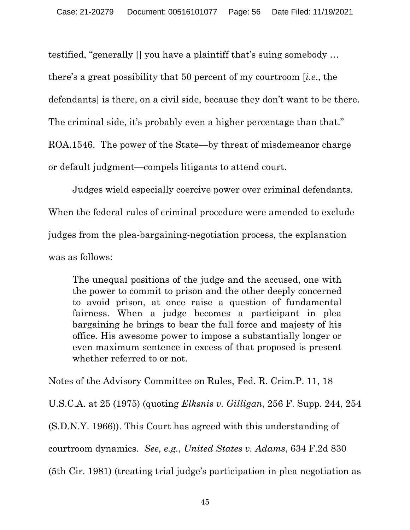testified, "generally [] you have a plaintiff that's suing somebody …

there's a great possibility that 50 percent of my courtroom [*i.e*., the

defendants] is there, on a civil side, because they don't want to be there.

The criminal side, it's probably even a higher percentage than that."

ROA.1546. The power of the State—by threat of misdemeanor charge

or default judgment—compels litigants to attend court.

Judges wield especially coercive power over criminal defendants. When the federal rules of criminal procedure were amended to exclude judges from the plea-bargaining-negotiation process, the explanation was as follows:

The unequal positions of the judge and the accused, one with the power to commit to prison and the other deeply concerned to avoid prison, at once raise a question of fundamental fairness. When a judge becomes a participant in plea bargaining he brings to bear the full force and majesty of his office. His awesome power to impose a substantially longer or even maximum sentence in excess of that proposed is present whether referred to or not.

Notes of the Advisory Committee on Rules, Fed. R. Crim.P. 11, 18 U.S.C.A. at 25 (1975) (quoting *Elksnis v. Gilligan*, 256 F. Supp. 244, 254 (S.D.N.Y. 1966)). This Court has agreed with this understanding of courtroom dynamics. *See, e.g.*, *United States v. Adams*, 634 F.2d 830

(5th Cir. 1981) (treating trial judge's participation in plea negotiation as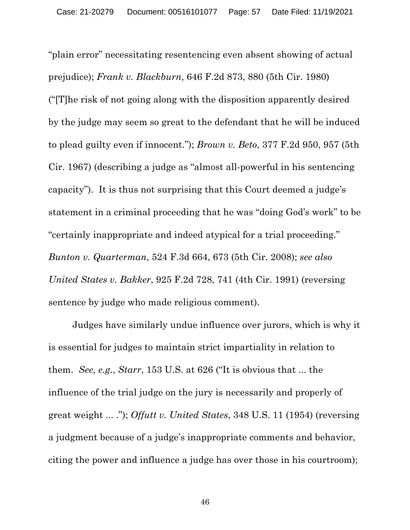"plain error" necessitating resentencing even absent showing of actual prejudice); *Frank v. Blackburn*, 646 F.2d 873, 880 (5th Cir. 1980) ("[T]he risk of not going along with the disposition apparently desired by the judge may seem so great to the defendant that he will be induced to plead guilty even if innocent."); *Brown v. Beto*, 377 F.2d 950, 957 (5th Cir. 1967) (describing a judge as "almost all-powerful in his sentencing capacity"). It is thus not surprising that this Court deemed a judge's statement in a criminal proceeding that he was "doing God's work" to be "certainly inappropriate and indeed atypical for a trial proceeding." *Bunton v. Quarterman*, 524 F.3d 664, 673 (5th Cir. 2008); *see also United States v. Bakker*, 925 F.2d 728, 741 (4th Cir. 1991) (reversing sentence by judge who made religious comment).

Judges have similarly undue influence over jurors, which is why it is essential for judges to maintain strict impartiality in relation to them. *See, e.g.*, *Starr*, 153 U.S. at 626 ("It is obvious that ... the influence of the trial judge on the jury is necessarily and properly of great weight ... ."); *Offutt v. United States*, 348 U.S. 11 (1954) (reversing a judgment because of a judge's inappropriate comments and behavior, citing the power and influence a judge has over those in his courtroom);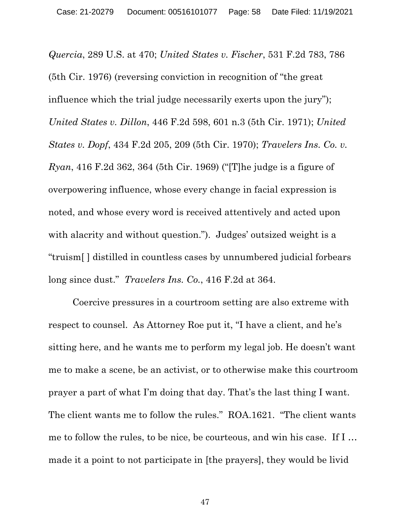*Quercia*, 289 U.S. at 470; *United States v. Fischer*, 531 F.2d 783, 786 (5th Cir. 1976) (reversing conviction in recognition of "the great influence which the trial judge necessarily exerts upon the jury"); *United States v. Dillon*, 446 F.2d 598, 601 n.3 (5th Cir. 1971); *United States v. Dopf*, 434 F.2d 205, 209 (5th Cir. 1970); *Travelers Ins. Co. v. Ryan*, 416 F.2d 362, 364 (5th Cir. 1969) ("[T]he judge is a figure of overpowering influence, whose every change in facial expression is noted, and whose every word is received attentively and acted upon with alacrity and without question."). Judges' outsized weight is a "truism[ ] distilled in countless cases by unnumbered judicial forbears long since dust." *Travelers Ins. Co.*, 416 F.2d at 364.

Coercive pressures in a courtroom setting are also extreme with respect to counsel. As Attorney Roe put it, "I have a client, and he's sitting here, and he wants me to perform my legal job. He doesn't want me to make a scene, be an activist, or to otherwise make this courtroom prayer a part of what I'm doing that day. That's the last thing I want. The client wants me to follow the rules." ROA.1621. "The client wants me to follow the rules, to be nice, be courteous, and win his case. If I … made it a point to not participate in [the prayers], they would be livid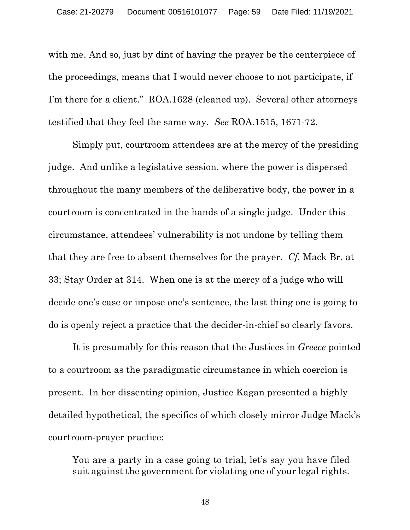with me. And so, just by dint of having the prayer be the centerpiece of the proceedings, means that I would never choose to not participate, if I'm there for a client." ROA.1628 (cleaned up). Several other attorneys testified that they feel the same way. *See* ROA.1515, 1671-72.

Simply put, courtroom attendees are at the mercy of the presiding judge. And unlike a legislative session, where the power is dispersed throughout the many members of the deliberative body, the power in a courtroom is concentrated in the hands of a single judge. Under this circumstance, attendees' vulnerability is not undone by telling them that they are free to absent themselves for the prayer. *Cf.* Mack Br. at 33; Stay Order at 314. When one is at the mercy of a judge who will decide one's case or impose one's sentence, the last thing one is going to do is openly reject a practice that the decider-in-chief so clearly favors.

It is presumably for this reason that the Justices in *Greece* pointed to a courtroom as the paradigmatic circumstance in which coercion is present. In her dissenting opinion, Justice Kagan presented a highly detailed hypothetical, the specifics of which closely mirror Judge Mack's courtroom-prayer practice:

You are a party in a case going to trial; let's say you have filed suit against the government for violating one of your legal rights.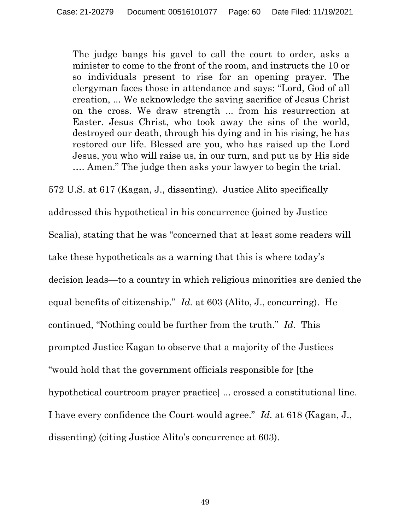The judge bangs his gavel to call the court to order, asks a minister to come to the front of the room, and instructs the 10 or so individuals present to rise for an opening prayer. The clergyman faces those in attendance and says: "Lord, God of all creation, ... We acknowledge the saving sacrifice of Jesus Christ on the cross. We draw strength ... from his resurrection at Easter. Jesus Christ, who took away the sins of the world, destroyed our death, through his dying and in his rising, he has restored our life. Blessed are you, who has raised up the Lord Jesus, you who will raise us, in our turn, and put us by His side …. Amen." The judge then asks your lawyer to begin the trial.

572 U.S. at 617 (Kagan, J., dissenting). Justice Alito specifically addressed this hypothetical in his concurrence (joined by Justice Scalia), stating that he was "concerned that at least some readers will take these hypotheticals as a warning that this is where today's decision leads—to a country in which religious minorities are denied the equal benefits of citizenship." *Id.* at 603 (Alito, J., concurring). He continued, "Nothing could be further from the truth." *Id.* This prompted Justice Kagan to observe that a majority of the Justices "would hold that the government officials responsible for [the hypothetical courtroom prayer practice] ... crossed a constitutional line. I have every confidence the Court would agree." *Id.* at 618 (Kagan, J., dissenting) (citing Justice Alito's concurrence at 603).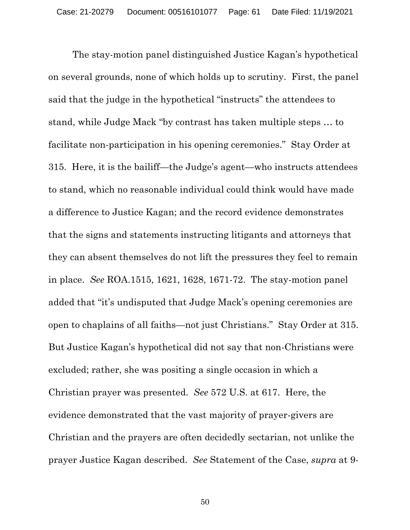The stay-motion panel distinguished Justice Kagan's hypothetical on several grounds, none of which holds up to scrutiny. First, the panel said that the judge in the hypothetical "instructs" the attendees to stand, while Judge Mack "by contrast has taken multiple steps … to facilitate non-participation in his opening ceremonies." Stay Order at 315. Here, it is the bailiff—the Judge's agent—who instructs attendees to stand, which no reasonable individual could think would have made a difference to Justice Kagan; and the record evidence demonstrates that the signs and statements instructing litigants and attorneys that they can absent themselves do not lift the pressures they feel to remain in place. *See* ROA.1515, 1621, 1628, 1671-72. The stay-motion panel added that "it's undisputed that Judge Mack's opening ceremonies are open to chaplains of all faiths—not just Christians." Stay Order at 315. But Justice Kagan's hypothetical did not say that non-Christians were excluded; rather, she was positing a single occasion in which a Christian prayer was presented. *See* 572 U.S. at 617. Here, the evidence demonstrated that the vast majority of prayer-givers are Christian and the prayers are often decidedly sectarian, not unlike the prayer Justice Kagan described. *See* Statement of the Case, *supra* at 9-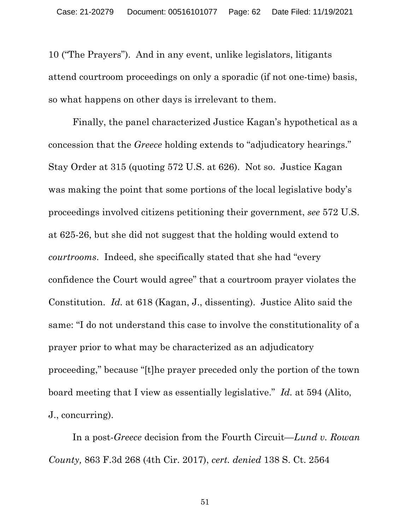10 ("The Prayers"). And in any event, unlike legislators, litigants attend courtroom proceedings on only a sporadic (if not one-time) basis, so what happens on other days is irrelevant to them.

Finally, the panel characterized Justice Kagan's hypothetical as a concession that the *Greece* holding extends to "adjudicatory hearings." Stay Order at 315 (quoting 572 U.S. at 626). Not so. Justice Kagan was making the point that some portions of the local legislative body's proceedings involved citizens petitioning their government, *see* 572 U.S. at 625-26, but she did not suggest that the holding would extend to *courtrooms*. Indeed, she specifically stated that she had "every confidence the Court would agree" that a courtroom prayer violates the Constitution. *Id.* at 618 (Kagan, J., dissenting). Justice Alito said the same: "I do not understand this case to involve the constitutionality of a prayer prior to what may be characterized as an adjudicatory proceeding," because "[t]he prayer preceded only the portion of the town board meeting that I view as essentially legislative." *Id.* at 594 (Alito, J., concurring).

In a post-*Greece* decision from the Fourth Circuit—*Lund v. Rowan County,* 863 F.3d 268 (4th Cir. 2017), *cert. denied* 138 S. Ct. 2564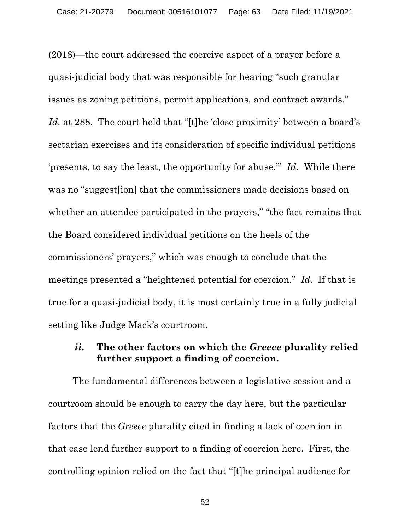(2018)—the court addressed the coercive aspect of a prayer before a quasi-judicial body that was responsible for hearing "such granular issues as zoning petitions, permit applications, and contract awards." Id. at 288. The court held that "[t]he 'close proximity' between a board's sectarian exercises and its consideration of specific individual petitions 'presents, to say the least, the opportunity for abuse.'" *Id.* While there was no "suggest[ion] that the commissioners made decisions based on whether an attendee participated in the prayers," "the fact remains that the Board considered individual petitions on the heels of the commissioners' prayers," which was enough to conclude that the meetings presented a "heightened potential for coercion." *Id.* If that is true for a quasi-judicial body, it is most certainly true in a fully judicial setting like Judge Mack's courtroom.

#### *ii.* **The other factors on which the** *Greece* **plurality relied further support a finding of coercion.**

The fundamental differences between a legislative session and a courtroom should be enough to carry the day here, but the particular factors that the *Greece* plurality cited in finding a lack of coercion in that case lend further support to a finding of coercion here. First, the controlling opinion relied on the fact that "[t]he principal audience for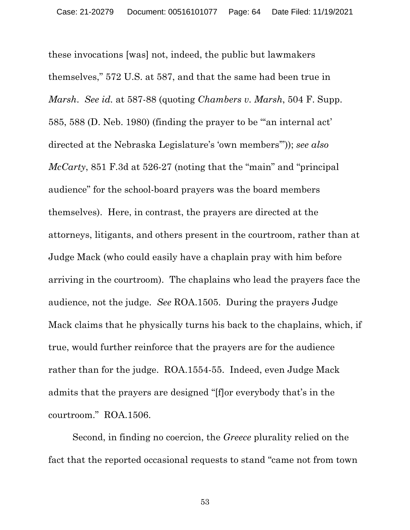these invocations [was] not, indeed, the public but lawmakers themselves," 572 U.S. at 587, and that the same had been true in *Marsh*. *See id.* at 587-88 (quoting *Chambers v. Marsh*, 504 F. Supp. 585, 588 (D. Neb. 1980) (finding the prayer to be "'an internal act' directed at the Nebraska Legislature's 'own members'")); *see also McCarty*, 851 F.3d at 526-27 (noting that the "main" and "principal audience" for the school-board prayers was the board members themselves). Here, in contrast, the prayers are directed at the attorneys, litigants, and others present in the courtroom, rather than at Judge Mack (who could easily have a chaplain pray with him before arriving in the courtroom). The chaplains who lead the prayers face the audience, not the judge. *See* ROA.1505. During the prayers Judge Mack claims that he physically turns his back to the chaplains, which, if true, would further reinforce that the prayers are for the audience rather than for the judge. ROA.1554-55. Indeed, even Judge Mack admits that the prayers are designed "[f]or everybody that's in the courtroom." ROA.1506.

Second, in finding no coercion, the *Greece* plurality relied on the fact that the reported occasional requests to stand "came not from town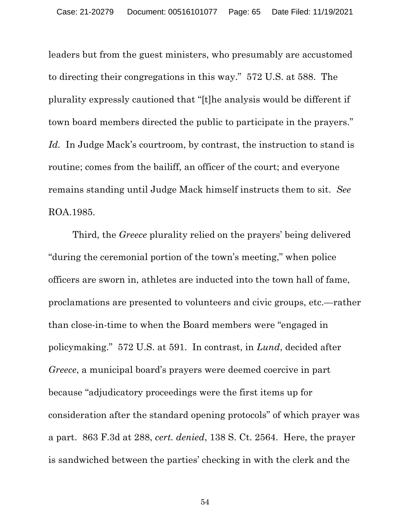leaders but from the guest ministers, who presumably are accustomed to directing their congregations in this way." 572 U.S. at 588. The plurality expressly cautioned that "[t]he analysis would be different if town board members directed the public to participate in the prayers." *Id.* In Judge Mack's courtroom, by contrast, the instruction to stand is routine; comes from the bailiff, an officer of the court; and everyone remains standing until Judge Mack himself instructs them to sit. *See*  ROA.1985.

Third, the *Greece* plurality relied on the prayers' being delivered "during the ceremonial portion of the town's meeting," when police officers are sworn in, athletes are inducted into the town hall of fame, proclamations are presented to volunteers and civic groups, etc.—rather than close-in-time to when the Board members were "engaged in policymaking." 572 U.S. at 591. In contrast, in *Lund*, decided after *Greece*, a municipal board's prayers were deemed coercive in part because "adjudicatory proceedings were the first items up for consideration after the standard opening protocols" of which prayer was a part. 863 F.3d at 288, *cert. denied*, 138 S. Ct. 2564. Here, the prayer is sandwiched between the parties' checking in with the clerk and the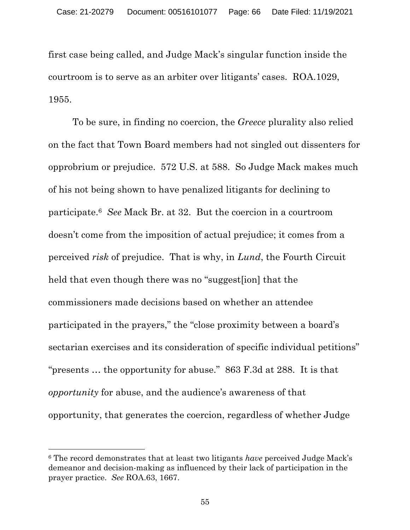first case being called, and Judge Mack's singular function inside the courtroom is to serve as an arbiter over litigants' cases. ROA.1029, 1955.

To be sure, in finding no coercion, the *Greece* plurality also relied on the fact that Town Board members had not singled out dissenters for opprobrium or prejudice. 572 U.S. at 588. So Judge Mack makes much of his not being shown to have penalized litigants for declining to participate.6 *See* Mack Br. at 32. But the coercion in a courtroom doesn't come from the imposition of actual prejudice; it comes from a perceived *risk* of prejudice. That is why, in *Lund*, the Fourth Circuit held that even though there was no "suggest[ion] that the commissioners made decisions based on whether an attendee participated in the prayers," the "close proximity between a board's sectarian exercises and its consideration of specific individual petitions" "presents … the opportunity for abuse." 863 F.3d at 288. It is that *opportunity* for abuse, and the audience's awareness of that opportunity, that generates the coercion, regardless of whether Judge

<sup>6</sup> The record demonstrates that at least two litigants *have* perceived Judge Mack's demeanor and decision-making as influenced by their lack of participation in the prayer practice. *See* ROA.63, 1667.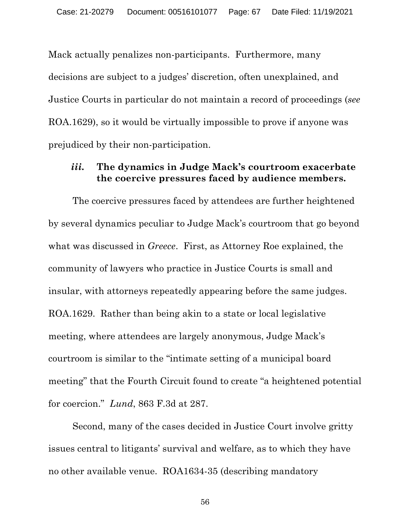Mack actually penalizes non-participants. Furthermore, many decisions are subject to a judges' discretion, often unexplained, and Justice Courts in particular do not maintain a record of proceedings (*see*  ROA.1629), so it would be virtually impossible to prove if anyone was prejudiced by their non-participation.

#### *iii.* **The dynamics in Judge Mack's courtroom exacerbate the coercive pressures faced by audience members.**

The coercive pressures faced by attendees are further heightened by several dynamics peculiar to Judge Mack's courtroom that go beyond what was discussed in *Greece*. First, as Attorney Roe explained, the community of lawyers who practice in Justice Courts is small and insular, with attorneys repeatedly appearing before the same judges. ROA.1629. Rather than being akin to a state or local legislative meeting, where attendees are largely anonymous, Judge Mack's courtroom is similar to the "intimate setting of a municipal board meeting" that the Fourth Circuit found to create "a heightened potential for coercion." *Lund*, 863 F.3d at 287.

Second, many of the cases decided in Justice Court involve gritty issues central to litigants' survival and welfare, as to which they have no other available venue. ROA1634-35 (describing mandatory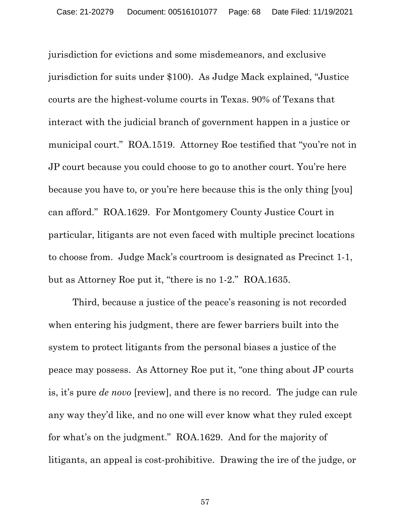jurisdiction for evictions and some misdemeanors, and exclusive jurisdiction for suits under \$100). As Judge Mack explained, "Justice courts are the highest-volume courts in Texas. 90% of Texans that interact with the judicial branch of government happen in a justice or municipal court." ROA.1519. Attorney Roe testified that "you're not in JP court because you could choose to go to another court. You're here because you have to, or you're here because this is the only thing [you] can afford." ROA.1629. For Montgomery County Justice Court in particular, litigants are not even faced with multiple precinct locations to choose from. Judge Mack's courtroom is designated as Precinct 1-1, but as Attorney Roe put it, "there is no 1-2." ROA.1635.

Third, because a justice of the peace's reasoning is not recorded when entering his judgment, there are fewer barriers built into the system to protect litigants from the personal biases a justice of the peace may possess. As Attorney Roe put it, "one thing about JP courts is, it's pure *de novo* [review], and there is no record. The judge can rule any way they'd like, and no one will ever know what they ruled except for what's on the judgment." ROA.1629. And for the majority of litigants, an appeal is cost-prohibitive. Drawing the ire of the judge, or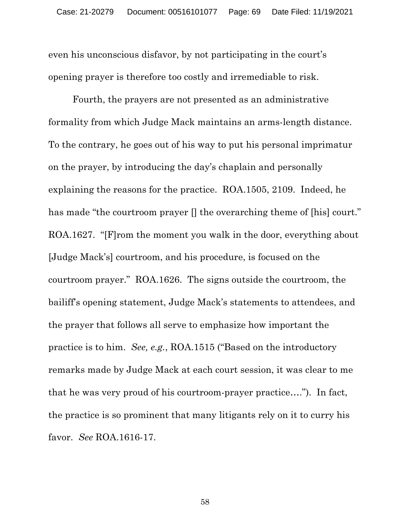even his unconscious disfavor, by not participating in the court's opening prayer is therefore too costly and irremediable to risk.

Fourth, the prayers are not presented as an administrative formality from which Judge Mack maintains an arms-length distance. To the contrary, he goes out of his way to put his personal imprimatur on the prayer, by introducing the day's chaplain and personally explaining the reasons for the practice. ROA.1505, 2109. Indeed, he has made "the courtroom prayer  $\parallel$  the overarching theme of [his] court." ROA.1627. "[F]rom the moment you walk in the door, everything about [Judge Mack's] courtroom, and his procedure, is focused on the courtroom prayer." ROA.1626. The signs outside the courtroom, the bailiff's opening statement, Judge Mack's statements to attendees, and the prayer that follows all serve to emphasize how important the practice is to him. *See, e.g.*, ROA.1515 ("Based on the introductory remarks made by Judge Mack at each court session, it was clear to me that he was very proud of his courtroom-prayer practice…."). In fact, the practice is so prominent that many litigants rely on it to curry his favor. *See* ROA.1616-17.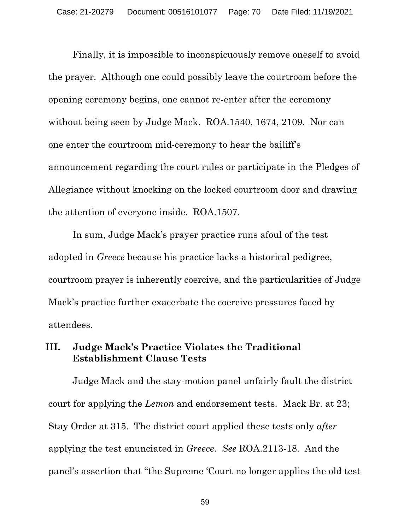Finally, it is impossible to inconspicuously remove oneself to avoid the prayer. Although one could possibly leave the courtroom before the opening ceremony begins, one cannot re-enter after the ceremony without being seen by Judge Mack. ROA.1540, 1674, 2109. Nor can one enter the courtroom mid-ceremony to hear the bailiff's announcement regarding the court rules or participate in the Pledges of Allegiance without knocking on the locked courtroom door and drawing the attention of everyone inside. ROA.1507.

In sum, Judge Mack's prayer practice runs afoul of the test adopted in *Greece* because his practice lacks a historical pedigree, courtroom prayer is inherently coercive, and the particularities of Judge Mack's practice further exacerbate the coercive pressures faced by attendees.

#### **III. Judge Mack's Practice Violates the Traditional Establishment Clause Tests**

Judge Mack and the stay-motion panel unfairly fault the district court for applying the *Lemon* and endorsement tests. Mack Br. at 23; Stay Order at 315. The district court applied these tests only *after*  applying the test enunciated in *Greece*. *See* ROA.2113-18. And the panel's assertion that "the Supreme 'Court no longer applies the old test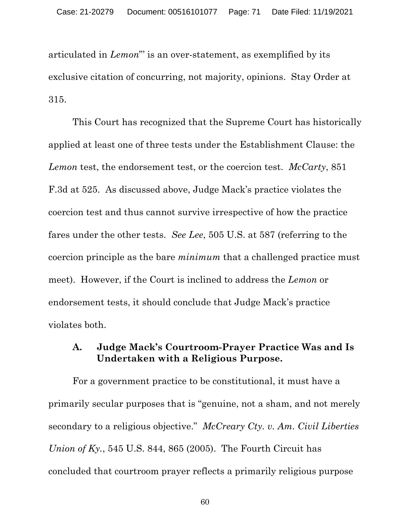articulated in *Lemon*"' is an over-statement, as exemplified by its exclusive citation of concurring, not majority, opinions. Stay Order at 315.

This Court has recognized that the Supreme Court has historically applied at least one of three tests under the Establishment Clause: the *Lemon* test, the endorsement test, or the coercion test. *McCarty*, 851 F.3d at 525. As discussed above, Judge Mack's practice violates the coercion test and thus cannot survive irrespective of how the practice fares under the other tests. *See Lee*, 505 U.S. at 587 (referring to the coercion principle as the bare *minimum* that a challenged practice must meet). However, if the Court is inclined to address the *Lemon* or endorsement tests, it should conclude that Judge Mack's practice violates both.

# **A. Judge Mack's Courtroom-Prayer Practice Was and Is Undertaken with a Religious Purpose.**

For a government practice to be constitutional, it must have a primarily secular purposes that is "genuine, not a sham, and not merely secondary to a religious objective." *McCreary Cty. v. Am. Civil Liberties Union of Ky.*, 545 U.S. 844, 865 (2005). The Fourth Circuit has concluded that courtroom prayer reflects a primarily religious purpose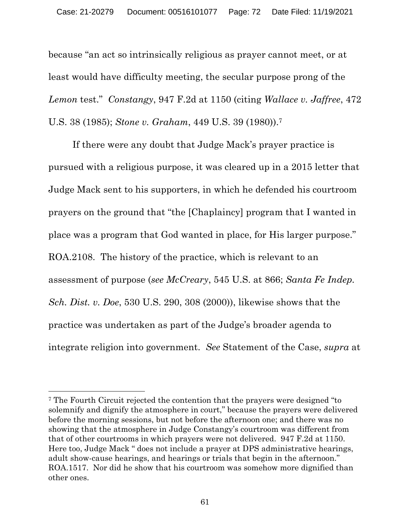because "an act so intrinsically religious as prayer cannot meet, or at least would have difficulty meeting, the secular purpose prong of the *Lemon* test." *Constangy*, 947 F.2d at 1150 (citing *Wallace v. Jaffree*, 472 U.S. 38 (1985); *Stone v. Graham*, 449 U.S. 39 (1980)).7

If there were any doubt that Judge Mack's prayer practice is pursued with a religious purpose, it was cleared up in a 2015 letter that Judge Mack sent to his supporters, in which he defended his courtroom prayers on the ground that "the [Chaplaincy] program that I wanted in place was a program that God wanted in place, for His larger purpose." ROA.2108. The history of the practice, which is relevant to an assessment of purpose (*see McCreary*, 545 U.S. at 866; *Santa Fe Indep. Sch. Dist. v. Doe*, 530 U.S. 290, 308 (2000)), likewise shows that the practice was undertaken as part of the Judge's broader agenda to integrate religion into government. *See* Statement of the Case, *supra* at

<sup>7</sup> The Fourth Circuit rejected the contention that the prayers were designed "to solemnify and dignify the atmosphere in court," because the prayers were delivered before the morning sessions, but not before the afternoon one; and there was no showing that the atmosphere in Judge Constangy's courtroom was different from that of other courtrooms in which prayers were not delivered. 947 F.2d at 1150. Here too, Judge Mack " does not include a prayer at DPS administrative hearings, adult show-cause hearings, and hearings or trials that begin in the afternoon." ROA.1517. Nor did he show that his courtroom was somehow more dignified than other ones.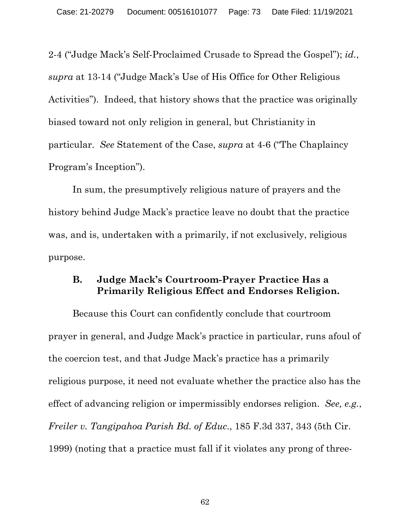2-4 ("Judge Mack's Self-Proclaimed Crusade to Spread the Gospel"); *id.*, *supra* at 13-14 ("Judge Mack's Use of His Office for Other Religious Activities"). Indeed, that history shows that the practice was originally biased toward not only religion in general, but Christianity in particular. *See* Statement of the Case, *supra* at 4-6 ("The Chaplaincy Program's Inception").

In sum, the presumptively religious nature of prayers and the history behind Judge Mack's practice leave no doubt that the practice was, and is, undertaken with a primarily, if not exclusively, religious purpose.

## **B. Judge Mack's Courtroom-Prayer Practice Has a Primarily Religious Effect and Endorses Religion.**

Because this Court can confidently conclude that courtroom prayer in general, and Judge Mack's practice in particular, runs afoul of the coercion test, and that Judge Mack's practice has a primarily religious purpose, it need not evaluate whether the practice also has the effect of advancing religion or impermissibly endorses religion. *See, e.g.*, *Freiler v. Tangipahoa Parish Bd. of Educ.*, 185 F.3d 337, 343 (5th Cir. 1999) (noting that a practice must fall if it violates any prong of three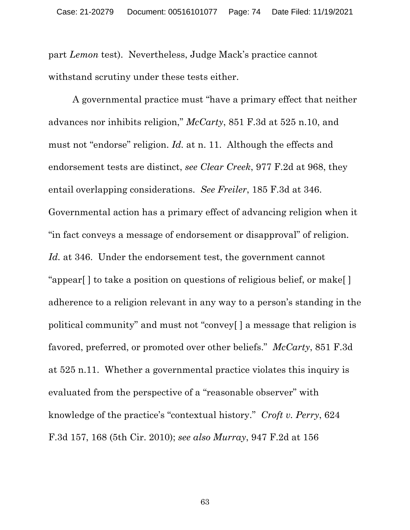part *Lemon* test). Nevertheless, Judge Mack's practice cannot withstand scrutiny under these tests either.

A governmental practice must "have a primary effect that neither advances nor inhibits religion," *McCarty*, 851 F.3d at 525 n.10, and must not "endorse" religion. *Id.* at n. 11. Although the effects and endorsement tests are distinct, *see Clear Creek*, 977 F.2d at 968, they entail overlapping considerations. *See Freiler*, 185 F.3d at 346. Governmental action has a primary effect of advancing religion when it "in fact conveys a message of endorsement or disapproval" of religion. *Id.* at 346. Under the endorsement test, the government cannot "appear[ ] to take a position on questions of religious belief, or make[ ] adherence to a religion relevant in any way to a person's standing in the political community" and must not "convey[ ] a message that religion is favored, preferred, or promoted over other beliefs." *McCarty*, 851 F.3d at 525 n.11. Whether a governmental practice violates this inquiry is evaluated from the perspective of a "reasonable observer" with knowledge of the practice's "contextual history." *Croft v. Perry*, 624 F.3d 157, 168 (5th Cir. 2010); *see also Murray*, 947 F.2d at 156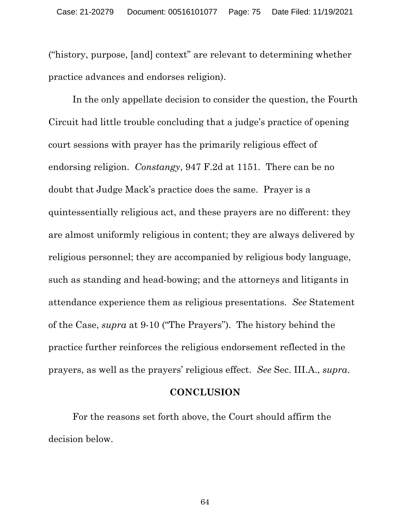("history, purpose, [and] context" are relevant to determining whether practice advances and endorses religion).

In the only appellate decision to consider the question, the Fourth Circuit had little trouble concluding that a judge's practice of opening court sessions with prayer has the primarily religious effect of endorsing religion. *Constangy*, 947 F.2d at 1151. There can be no doubt that Judge Mack's practice does the same. Prayer is a quintessentially religious act, and these prayers are no different: they are almost uniformly religious in content; they are always delivered by religious personnel; they are accompanied by religious body language, such as standing and head-bowing; and the attorneys and litigants in attendance experience them as religious presentations. *See* Statement of the Case, *supra* at 9-10 ("The Prayers"). The history behind the practice further reinforces the religious endorsement reflected in the prayers, as well as the prayers' religious effect. *See* Sec. III.A., *supra*.

## **CONCLUSION**

For the reasons set forth above, the Court should affirm the decision below.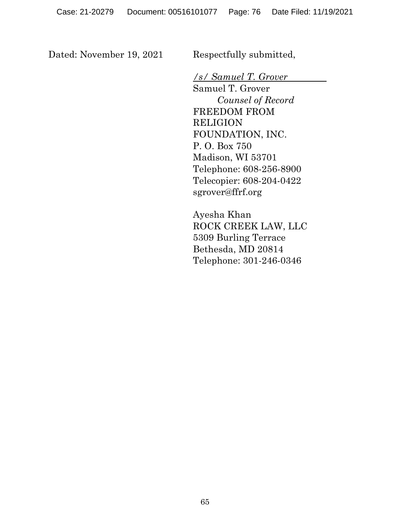Dated: November 19, 2021 Respectfully submitted,

*/s/ Samuel T. Grover* 

Samuel T. Grover *Counsel of Record* FREEDOM FROM RELIGION FOUNDATION, INC. P. O. Box 750 Madison, WI 53701 Telephone: 608-256-8900 Telecopier: 608-204-0422 sgrover@ffrf.org

Ayesha Khan ROCK CREEK LAW, LLC 5309 Burling Terrace Bethesda, MD 20814 Telephone: 301-246-0346